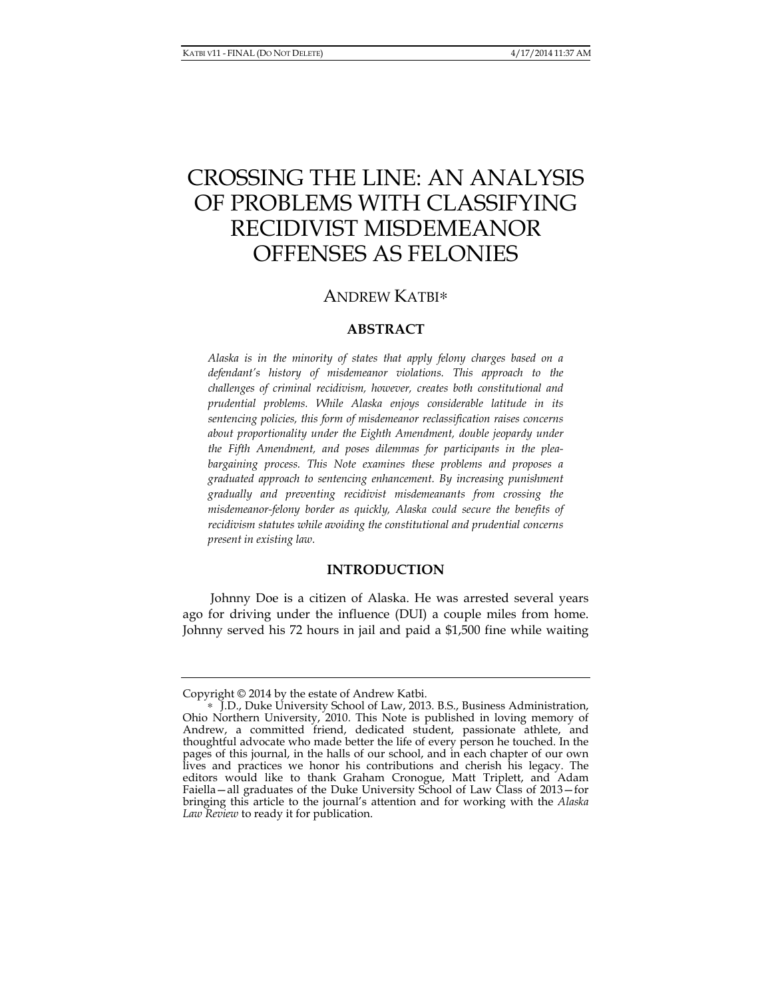# CROSSING THE LINE: AN ANALYSIS OF PROBLEMS WITH CLASSIFYING RECIDIVIST MISDEMEANOR OFFENSES AS FELONIES

# ANDREW KATBI∗

## **ABSTRACT**

*Alaska is in the minority of states that apply felony charges based on a defendant's history of misdemeanor violations. This approach to the challenges of criminal recidivism, however, creates both constitutional and prudential problems. While Alaska enjoys considerable latitude in its sentencing policies, this form of misdemeanor reclassification raises concerns about proportionality under the Eighth Amendment, double jeopardy under the Fifth Amendment, and poses dilemmas for participants in the pleabargaining process. This Note examines these problems and proposes a graduated approach to sentencing enhancement. By increasing punishment gradually and preventing recidivist misdemeanants from crossing the misdemeanor-felony border as quickly, Alaska could secure the benefits of recidivism statutes while avoiding the constitutional and prudential concerns present in existing law.* 

### **INTRODUCTION**

Johnny Doe is a citizen of Alaska. He was arrested several years ago for driving under the influence (DUI) a couple miles from home. Johnny served his 72 hours in jail and paid a \$1,500 fine while waiting

Copyright © 2014 by the estate of Andrew Katbi.

<sup>∗</sup> J.D., Duke University School of Law, 2013. B.S., Business Administration, Ohio Northern University, 2010. This Note is published in loving memory of Andrew, a committed friend, dedicated student, passionate athlete, and thoughtful advocate who made better the life of every person he touched. In the pages of this journal, in the halls of our school, and in each chapter of our own lives and practices we honor his contributions and cherish his legacy. The editors would like to thank Graham Cronogue, Matt Triplett, and Adam Faiella—all graduates of the Duke University School of Law Class of 2013—for bringing this article to the journal's attention and for working with the *Alaska Law Review* to ready it for publication.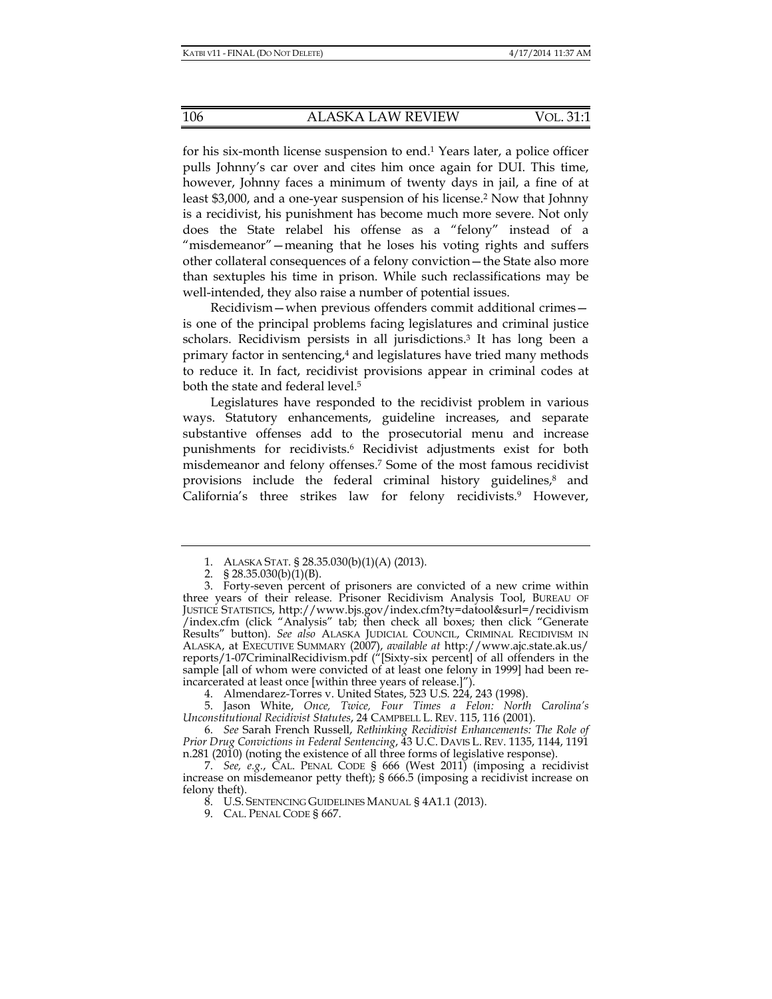for his six-month license suspension to end.1 Years later, a police officer pulls Johnny's car over and cites him once again for DUI. This time, however, Johnny faces a minimum of twenty days in jail, a fine of at least \$3,000, and a one-year suspension of his license.2 Now that Johnny is a recidivist, his punishment has become much more severe. Not only does the State relabel his offense as a "felony" instead of a "misdemeanor"—meaning that he loses his voting rights and suffers other collateral consequences of a felony conviction—the State also more than sextuples his time in prison. While such reclassifications may be well-intended, they also raise a number of potential issues.

Recidivism—when previous offenders commit additional crimes is one of the principal problems facing legislatures and criminal justice scholars. Recidivism persists in all jurisdictions.<sup>3</sup> It has long been a primary factor in sentencing,<sup>4</sup> and legislatures have tried many methods to reduce it. In fact, recidivist provisions appear in criminal codes at both the state and federal level.<sup>5</sup>

Legislatures have responded to the recidivist problem in various ways. Statutory enhancements, guideline increases, and separate substantive offenses add to the prosecutorial menu and increase punishments for recidivists.6 Recidivist adjustments exist for both misdemeanor and felony offenses.7 Some of the most famous recidivist provisions include the federal criminal history guidelines, $8$  and California's three strikes law for felony recidivists.9 However,

 5. Jason White, *Once, Twice, Four Times a Felon: North Carolina's Unconstitutional Recidivist Statutes*, 24 CAMPBELL L. REV. 115, 116 (2001).

 6. *See* Sarah French Russell, *Rethinking Recidivist Enhancements: The Role of Prior Drug Convictions in Federal Sentencing*, 43 U.C. DAVIS L. REV. 1135, 1144, 1191 n.281 (2010) (noting the existence of all three forms of legislative response).

 <sup>1.</sup> ALASKA STAT. § 28.35.030(b)(1)(A) (2013).

<sup>2. § 28.35.030(</sup>b)(1)(B).

 <sup>3.</sup> Forty-seven percent of prisoners are convicted of a new crime within three years of their release. Prisoner Recidivism Analysis Tool, BUREAU OF JUSTICE STATISTICS, http://www.bjs.gov/index.cfm?ty=datool&surl=/recidivism /index.cfm (click "Analysis" tab; then check all boxes; then click "Generate Results" button). *See also* ALASKA JUDICIAL COUNCIL, CRIMINAL RECIDIVISM IN ALASKA, at EXECUTIVE SUMMARY (2007), *available at* http://www.ajc.state.ak.us/ reports/1-07CriminalRecidivism.pdf ("[Sixty-six percent] of all offenders in the sample [all of whom were convicted of at least one felony in 1999] had been reincarcerated at least once [within three years of release.]").

 <sup>4.</sup> Almendarez-Torres v. United States, 523 U.S. 224, 243 (1998).

 <sup>7.</sup> *See, e.g.*, CAL. PENAL CODE § 666 (West 2011) (imposing a recidivist increase on misdemeanor petty theft); § 666.5 (imposing a recidivist increase on felony theft).

 <sup>8.</sup> U.S. SENTENCING GUIDELINES MANUAL § 4A1.1 (2013).

 <sup>9.</sup> CAL. PENAL CODE § 667.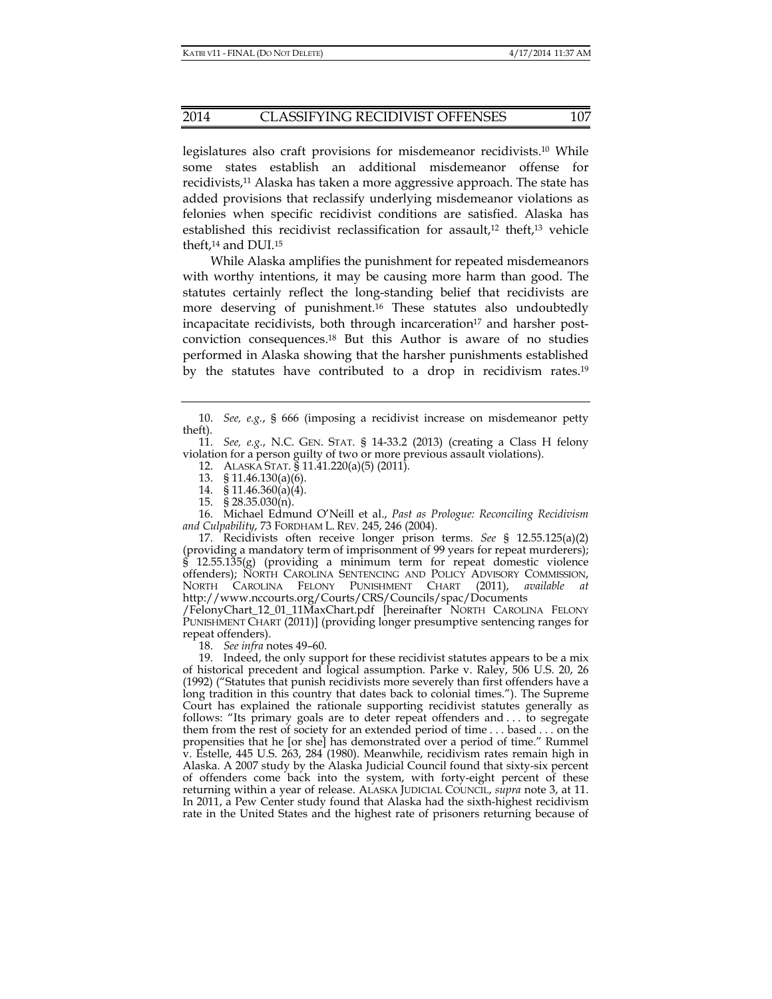legislatures also craft provisions for misdemeanor recidivists.10 While some states establish an additional misdemeanor offense for recidivists,11 Alaska has taken a more aggressive approach. The state has added provisions that reclassify underlying misdemeanor violations as felonies when specific recidivist conditions are satisfied. Alaska has established this recidivist reclassification for assault,<sup>12</sup> theft,<sup>13</sup> vehicle theft,<sup>14</sup> and DUI.<sup>15</sup>

While Alaska amplifies the punishment for repeated misdemeanors with worthy intentions, it may be causing more harm than good. The statutes certainly reflect the long-standing belief that recidivists are more deserving of punishment.16 These statutes also undoubtedly incapacitate recidivists, both through incarceration<sup>17</sup> and harsher postconviction consequences.18 But this Author is aware of no studies performed in Alaska showing that the harsher punishments established by the statutes have contributed to a drop in recidivism rates.<sup>19</sup>

 11. *See, e.g.*, N.C. GEN. STAT. § 14-33.2 (2013) (creating a Class H felony violation for a person guilty of two or more previous assault violations).

12. ALASKA STAT. § 11.41.220(a)(5) (2011).

- 13. § 11.46.130(a)(6).
- 14. § 11.46.360(a)(4).
- 15. § 28.35.030(n).

 16. Michael Edmund O'Neill et al., *Past as Prologue: Reconciling Recidivism and Culpability*, 73 FORDHAM L. REV. 245, 246 (2004).

 17. Recidivists often receive longer prison terms. *See* § 12.55.125(a)(2) (providing a mandatory term of imprisonment of 99 years for repeat murderers);  $12.55.1\overline{3}5(g)$  (providing a minimum term for repeat domestic violence offenders); NORTH CAROLINA SENTENCING AND POLICY ADVISORY COMMISSION, NORTH CAROLINA FELONY PUNISHMENT CHART (2011), *available at*  http://www.nccourts.org/Courts/CRS/Councils/spac/Documents

/FelonyChart\_12\_01\_11MaxChart.pdf [hereinafter NORTH CAROLINA FELONY PUNISHMENT CHART (2011)] (providing longer presumptive sentencing ranges for repeat offenders).

18. *See infra* notes 49–60.

 19. Indeed, the only support for these recidivist statutes appears to be a mix of historical precedent and logical assumption. Parke v. Raley, 506 U.S. 20, 26 (1992) ("Statutes that punish recidivists more severely than first offenders have a long tradition in this country that dates back to colonial times."). The Supreme Court has explained the rationale supporting recidivist statutes generally as follows: "Its primary goals are to deter repeat offenders and . . . to segregate them from the rest of society for an extended period of time . . . based . . . on the propensities that he [or she] has demonstrated over a period of time." Rummel v. Estelle, 445 U.S. 263, 284 (1980). Meanwhile, recidivism rates remain high in Alaska. A 2007 study by the Alaska Judicial Council found that sixty-six percent of offenders come back into the system, with forty-eight percent of these returning within a year of release. ALASKA JUDICIAL COUNCIL, *supra* note 3, at 11. In 2011, a Pew Center study found that Alaska had the sixth-highest recidivism rate in the United States and the highest rate of prisoners returning because of

 <sup>10.</sup> *See, e.g.*, § 666 (imposing a recidivist increase on misdemeanor petty theft).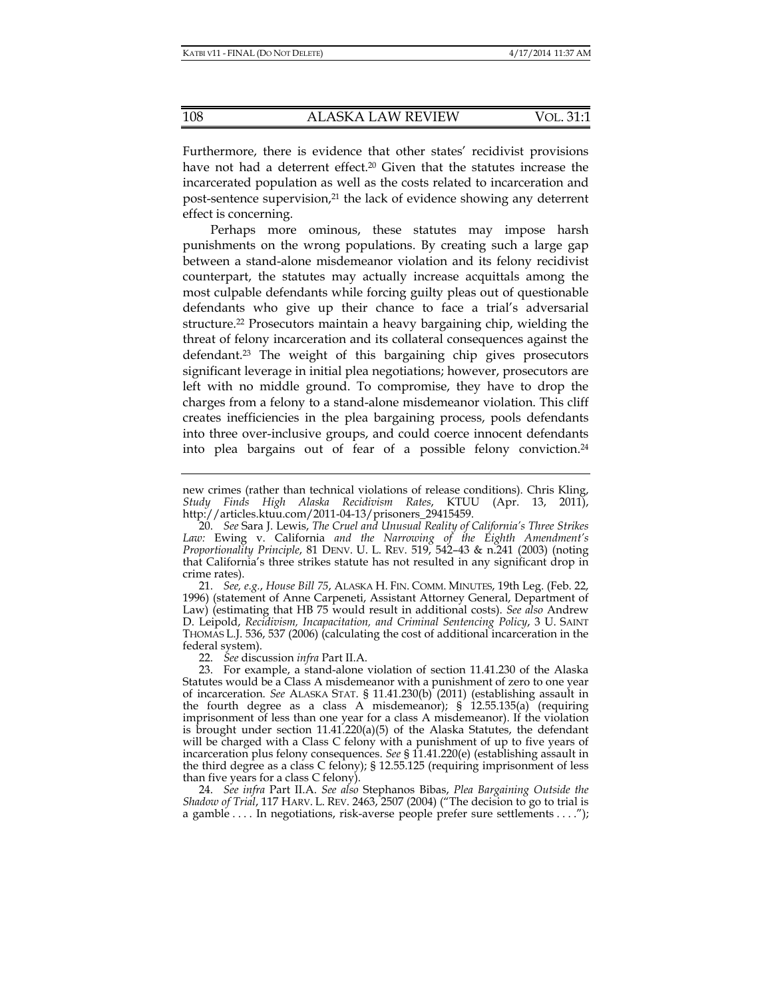Furthermore, there is evidence that other states' recidivist provisions have not had a deterrent effect.<sup>20</sup> Given that the statutes increase the incarcerated population as well as the costs related to incarceration and post-sentence supervision,<sup>21</sup> the lack of evidence showing any deterrent effect is concerning.

Perhaps more ominous, these statutes may impose harsh punishments on the wrong populations. By creating such a large gap between a stand-alone misdemeanor violation and its felony recidivist counterpart, the statutes may actually increase acquittals among the most culpable defendants while forcing guilty pleas out of questionable defendants who give up their chance to face a trial's adversarial structure.22 Prosecutors maintain a heavy bargaining chip, wielding the threat of felony incarceration and its collateral consequences against the defendant.23 The weight of this bargaining chip gives prosecutors significant leverage in initial plea negotiations; however, prosecutors are left with no middle ground. To compromise, they have to drop the charges from a felony to a stand-alone misdemeanor violation. This cliff creates inefficiencies in the plea bargaining process, pools defendants into three over-inclusive groups, and could coerce innocent defendants into plea bargains out of fear of a possible felony conviction.24

 24. *See infra* Part II.A. *See also* Stephanos Bibas, *Plea Bargaining Outside the Shadow of Trial*, 117 HARV. L. REV. 2463, 2507 (2004) ("The decision to go to trial is a gamble . . . . In negotiations, risk-averse people prefer sure settlements . . . .");

new crimes (rather than technical violations of release conditions). Chris Kling, *Study Finds High Alaska Recidivism Rates*, KTUU (Apr. 13, 2011), http://articles.ktuu.com/2011-04-13/prisoners\_29415459.

 <sup>20.</sup> *See* Sara J. Lewis, *The Cruel and Unusual Reality of California's Three Strikes Law:* Ewing v. California *and the Narrowing of the Eighth Amendment's Proportionality Principle*, 81 DENV. U. L. REV. 519, 542–43 & n.241 (2003) (noting that California's three strikes statute has not resulted in any significant drop in crime rates).

 <sup>21.</sup> *See, e.g.*, *House Bill 75*, ALASKA H. FIN. COMM. MINUTES, 19th Leg. (Feb. 22, 1996) (statement of Anne Carpeneti, Assistant Attorney General, Department of Law) (estimating that HB 75 would result in additional costs). *See also* Andrew D. Leipold, *Recidivism, Incapacitation, and Criminal Sentencing Policy*, 3 U. SAINT THOMAS L.J. 536, 537 (2006) (calculating the cost of additional incarceration in the federal system).

 <sup>22.</sup> *See* discussion *infra* Part II.A.

 <sup>23.</sup> For example, a stand-alone violation of section 11.41.230 of the Alaska Statutes would be a Class A misdemeanor with a punishment of zero to one year of incarceration. *See* ALASKA STAT. § 11.41.230(b) (2011) (establishing assault in the fourth degree as a class A misdemeanor); § 12.55.135(a) (requiring imprisonment of less than one year for a class A misdemeanor). If the violation is brought under section  $11.41.220(a)(5)$  of the Alaska Statutes, the defendant will be charged with a Class C felony with a punishment of up to five years of incarceration plus felony consequences. *See* § 11.41.220(e) (establishing assault in the third degree as a class C felony); § 12.55.125 (requiring imprisonment of less than five years for a class C felony).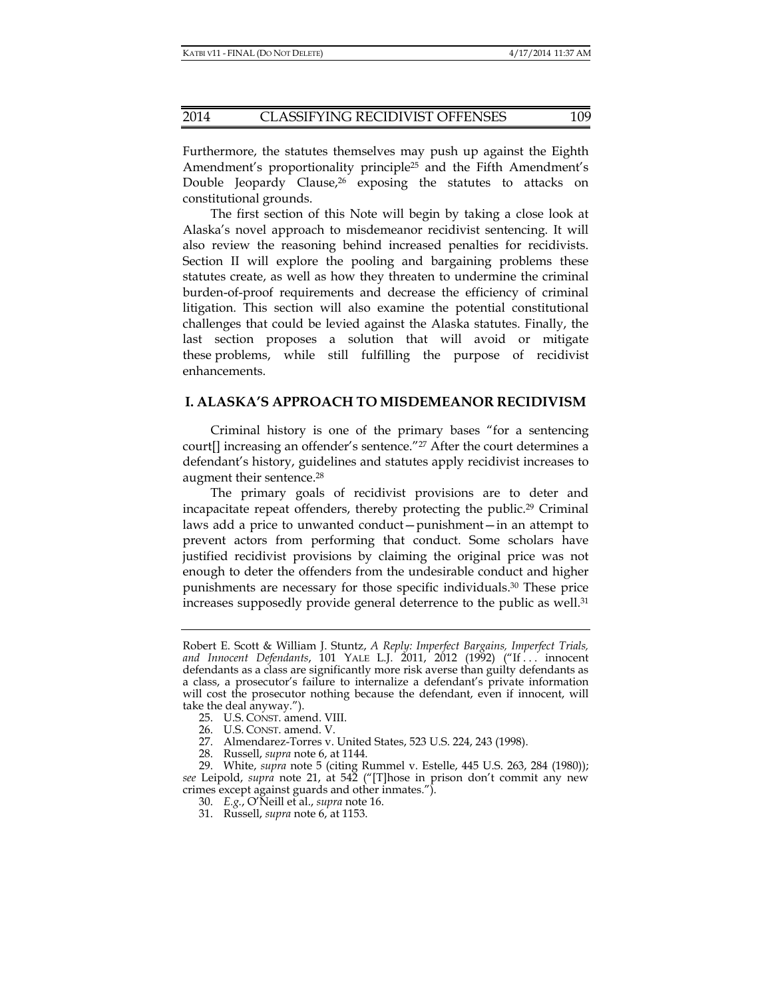Furthermore, the statutes themselves may push up against the Eighth Amendment's proportionality principle25 and the Fifth Amendment's Double Jeopardy Clause,<sup>26</sup> exposing the statutes to attacks on constitutional grounds.

The first section of this Note will begin by taking a close look at Alaska's novel approach to misdemeanor recidivist sentencing. It will also review the reasoning behind increased penalties for recidivists. Section II will explore the pooling and bargaining problems these statutes create, as well as how they threaten to undermine the criminal burden-of-proof requirements and decrease the efficiency of criminal litigation. This section will also examine the potential constitutional challenges that could be levied against the Alaska statutes. Finally, the last section proposes a solution that will avoid or mitigate these problems, while still fulfilling the purpose of recidivist enhancements.

#### **I. ALASKA'S APPROACH TO MISDEMEANOR RECIDIVISM**

Criminal history is one of the primary bases "for a sentencing court[] increasing an offender's sentence."27 After the court determines a defendant's history, guidelines and statutes apply recidivist increases to augment their sentence.<sup>28</sup>

The primary goals of recidivist provisions are to deter and incapacitate repeat offenders, thereby protecting the public.29 Criminal laws add a price to unwanted conduct—punishment—in an attempt to prevent actors from performing that conduct. Some scholars have justified recidivist provisions by claiming the original price was not enough to deter the offenders from the undesirable conduct and higher punishments are necessary for those specific individuals.30 These price increases supposedly provide general deterrence to the public as well.<sup>31</sup>

Robert E. Scott & William J. Stuntz, *A Reply: Imperfect Bargains, Imperfect Trials, and Innocent Defendants*, 101 YALE L.J. 2011, 2012 (1992) ("If . . . innocent defendants as a class are significantly more risk averse than guilty defendants as a class, a prosecutor's failure to internalize a defendant's private information will cost the prosecutor nothing because the defendant, even if innocent, will take the deal anyway.").

 <sup>25.</sup> U.S. CONST. amend. VIII.

 <sup>26.</sup> U.S. CONST. amend. V.

 <sup>27.</sup> Almendarez-Torres v. United States, 523 U.S. 224, 243 (1998).

 <sup>28.</sup> Russell, *supra* note 6, at 1144.

 <sup>29.</sup> White, *supra* note 5 (citing Rummel v. Estelle, 445 U.S. 263, 284 (1980)); *see* Leipold, *supra* note 21, at 542 ("[T]hose in prison don't commit any new crimes except against guards and other inmates.").

 <sup>30.</sup> *E.g.*, O'Neill et al., *supra* note 16.

 <sup>31.</sup> Russell, *supra* note 6, at 1153.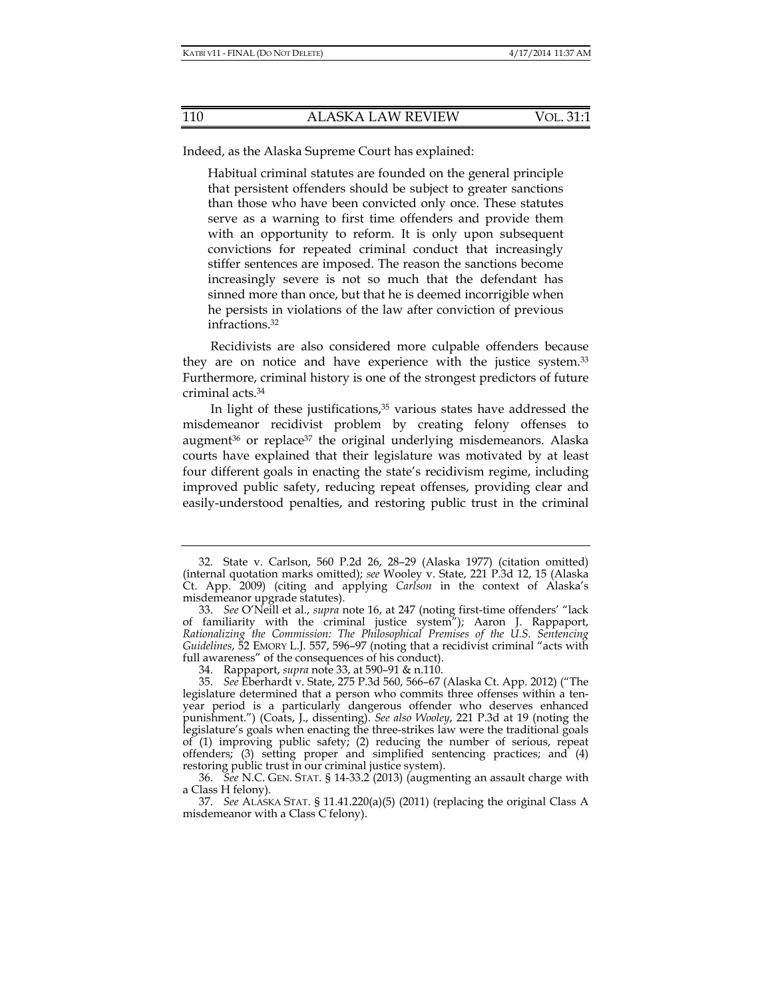Indeed, as the Alaska Supreme Court has explained:

Habitual criminal statutes are founded on the general principle that persistent offenders should be subject to greater sanctions than those who have been convicted only once. These statutes serve as a warning to first time offenders and provide them with an opportunity to reform. It is only upon subsequent convictions for repeated criminal conduct that increasingly stiffer sentences are imposed. The reason the sanctions become increasingly severe is not so much that the defendant has sinned more than once, but that he is deemed incorrigible when he persists in violations of the law after conviction of previous infractions.32

Recidivists are also considered more culpable offenders because they are on notice and have experience with the justice system.33 Furthermore, criminal history is one of the strongest predictors of future criminal acts.34

In light of these justifications,<sup>35</sup> various states have addressed the misdemeanor recidivist problem by creating felony offenses to augment36 or replace37 the original underlying misdemeanors. Alaska courts have explained that their legislature was motivated by at least four different goals in enacting the state's recidivism regime, including improved public safety, reducing repeat offenses, providing clear and easily-understood penalties, and restoring public trust in the criminal

 <sup>32.</sup> State v. Carlson, 560 P.2d 26, 28–29 (Alaska 1977) (citation omitted) (internal quotation marks omitted); *see* Wooley v. State, 221 P.3d 12, 15 (Alaska Ct. App. 2009) (citing and applying *Carlson* in the context of Alaska's misdemeanor upgrade statutes).

 <sup>33.</sup> *See* O'Neill et al., *supra* note 16, at 247 (noting first-time offenders' "lack of familiarity with the criminal justice system"); Aaron J. Rappaport, *Rationalizing the Commission: The Philosophical Premises of the U.S. Sentencing Guidelines*, 52 EMORY L.J. 557, 596–97 (noting that a recidivist criminal "acts with full awareness" of the consequences of his conduct).

 <sup>34.</sup> Rappaport, *supra* note 33, at 590–91 & n.110.

 <sup>35.</sup> *See* Eberhardt v. State, 275 P.3d 560, 566–67 (Alaska Ct. App. 2012) ("The legislature determined that a person who commits three offenses within a tenyear period is a particularly dangerous offender who deserves enhanced punishment.") (Coats, J., dissenting). *See also Wooley*, 221 P.3d at 19 (noting the legislature's goals when enacting the three-strikes law were the traditional goals of (1) improving public safety; (2) reducing the number of serious, repeat offenders; (3) setting proper and simplified sentencing practices; and (4) restoring public trust in our criminal justice system).

 <sup>36.</sup> *See* N.C. GEN. STAT. § 14-33.2 (2013) (augmenting an assault charge with a Class H felony).

 <sup>37.</sup> *See* ALASKA STAT. § 11.41.220(a)(5) (2011) (replacing the original Class A misdemeanor with a Class C felony).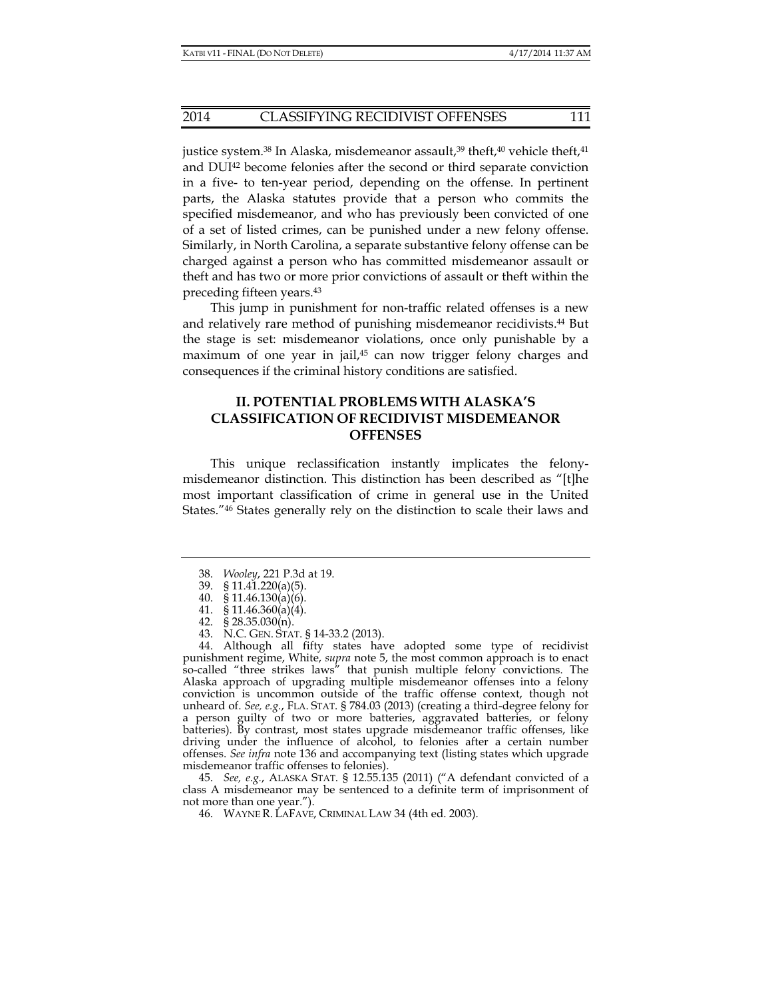justice system.<sup>38</sup> In Alaska, misdemeanor assault,<sup>39</sup> theft,<sup>40</sup> vehicle theft,<sup>41</sup> and DUI42 become felonies after the second or third separate conviction in a five- to ten-year period, depending on the offense. In pertinent parts, the Alaska statutes provide that a person who commits the specified misdemeanor, and who has previously been convicted of one of a set of listed crimes, can be punished under a new felony offense. Similarly, in North Carolina, a separate substantive felony offense can be charged against a person who has committed misdemeanor assault or theft and has two or more prior convictions of assault or theft within the preceding fifteen years.43

This jump in punishment for non-traffic related offenses is a new and relatively rare method of punishing misdemeanor recidivists.44 But the stage is set: misdemeanor violations, once only punishable by a maximum of one year in jail,45 can now trigger felony charges and consequences if the criminal history conditions are satisfied.

## **II. POTENTIAL PROBLEMS WITH ALASKA'S CLASSIFICATION OF RECIDIVIST MISDEMEANOR OFFENSES**

This unique reclassification instantly implicates the felonymisdemeanor distinction. This distinction has been described as "[t]he most important classification of crime in general use in the United States."46 States generally rely on the distinction to scale their laws and

- 38. *Wooley*, 221 P.3d at 19.
- 39. § 11.41.220(a)(5).
- 40. § 11.46.130(a)(6).
	- 41. § 11.46.360(a)(4).
- 42. § 28.35.030(n).
- 43. N.C. GEN. STAT. § 14-33.2 (2013).

 44. Although all fifty states have adopted some type of recidivist punishment regime, White, *supra* note 5, the most common approach is to enact so-called "three strikes laws" that punish multiple felony convictions. The Alaska approach of upgrading multiple misdemeanor offenses into a felony conviction is uncommon outside of the traffic offense context, though not unheard of. *See, e.g.*, FLA. STAT. § 784.03 (2013) (creating a third-degree felony for a person guilty of two or more batteries, aggravated batteries, or felony batteries). By contrast, most states upgrade misdemeanor traffic offenses, like driving under the influence of alcohol, to felonies after a certain number offenses. *See infra* note 136 and accompanying text (listing states which upgrade misdemeanor traffic offenses to felonies).

 45. *See, e.g.*, ALASKA STAT. § 12.55.135 (2011) ("A defendant convicted of a class A misdemeanor may be sentenced to a definite term of imprisonment of not more than one year.").

46. WAYNE R. LAFAVE, CRIMINAL LAW 34 (4th ed. 2003).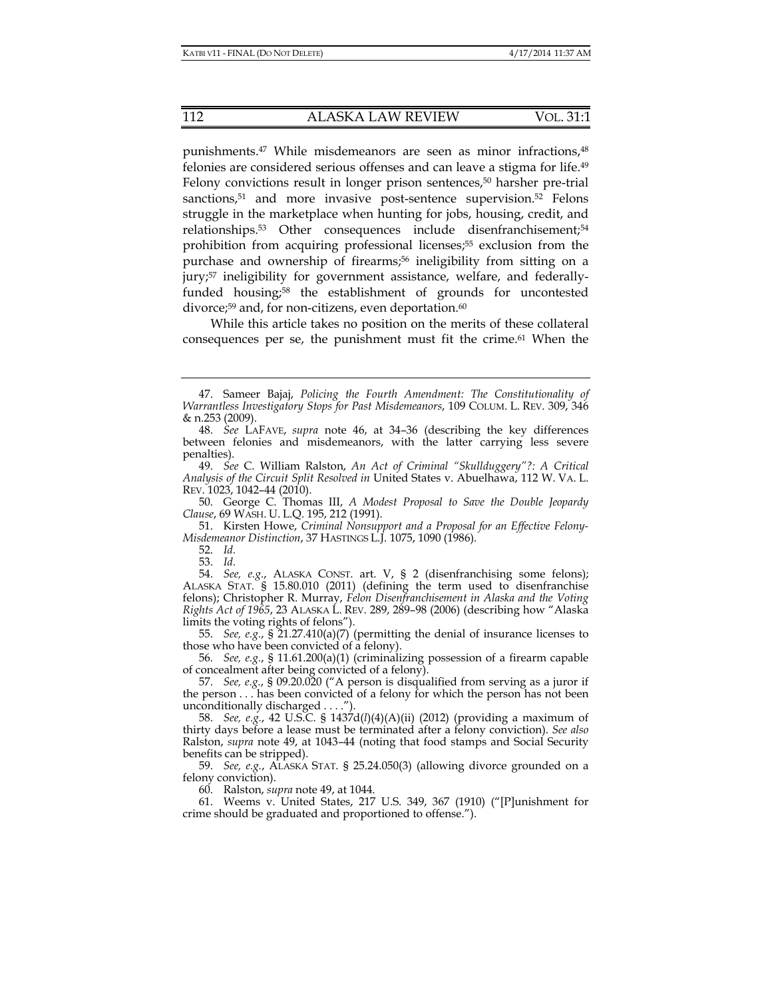punishments.<sup>47</sup> While misdemeanors are seen as minor infractions,<sup>48</sup> felonies are considered serious offenses and can leave a stigma for life.49 Felony convictions result in longer prison sentences,<sup>50</sup> harsher pre-trial sanctions,<sup>51</sup> and more invasive post-sentence supervision.<sup>52</sup> Felons struggle in the marketplace when hunting for jobs, housing, credit, and relationships.<sup>53</sup> Other consequences include disenfranchisement;<sup>54</sup> prohibition from acquiring professional licenses;55 exclusion from the purchase and ownership of firearms;<sup>56</sup> ineligibility from sitting on a jury;<sup>57</sup> ineligibility for government assistance, welfare, and federallyfunded housing;<sup>58</sup> the establishment of grounds for uncontested divorce;<sup>59</sup> and, for non-citizens, even deportation. $60$ 

While this article takes no position on the merits of these collateral consequences per se, the punishment must fit the crime.61 When the

 51. Kirsten Howe, *Criminal Nonsupport and a Proposal for an Effective Felony-Misdemeanor Distinction*, 37 HASTINGS L.J. 1075, 1090 (1986).

52. *Id.*

53. *Id.*

 54. *See, e.g.*, ALASKA CONST. art. V, § 2 (disenfranchising some felons); ALASKA STAT. § 15.80.010 (2011) (defining the term used to disenfranchise felons); Christopher R. Murray, *Felon Disenfranchisement in Alaska and the Voting Rights Act of 1965*, 23 ALASKA L. REV. 289, 289–98 (2006) (describing how "Alaska limits the voting rights of felons").

 55. *See, e.g.*, § 21.27.410(a)(7) (permitting the denial of insurance licenses to those who have been convicted of a felony).

 56. *See, e.g.*, § 11.61.200(a)(1) (criminalizing possession of a firearm capable of concealment after being convicted of a felony).

 57. *See, e.g.*, § 09.20.020 ("A person is disqualified from serving as a juror if the person . . . has been convicted of a felony for which the person has not been unconditionally discharged . . . .").

 58. *See, e.g.*, 42 U.S.C. § 1437d(*l*)(4)(A)(ii) (2012) (providing a maximum of thirty days before a lease must be terminated after a felony conviction). *See also*  Ralston, *supra* note 49, at 1043–44 (noting that food stamps and Social Security benefits can be stripped).

 59. *See, e.g.*, ALASKA STAT. § 25.24.050(3) (allowing divorce grounded on a felony conviction).

60. Ralston, *supra* note 49, at 1044.

 61. Weems v. United States, 217 U.S. 349, 367 (1910) ("[P]unishment for crime should be graduated and proportioned to offense.").

 <sup>47.</sup> Sameer Bajaj, *Policing the Fourth Amendment: The Constitutionality of Warrantless Investigatory Stops for Past Misdemeanors*, 109 COLUM. L. REV. 309, 346 & n.253 (2009).

 <sup>48.</sup> *See* LAFAVE, *supra* note 46, at 34–36 (describing the key differences between felonies and misdemeanors, with the latter carrying less severe penalties).

 <sup>49.</sup> *See* C. William Ralston, *An Act of Criminal "Skullduggery"?: A Critical Analysis of the Circuit Split Resolved in* United States v. Abuelhawa, 112 W. VA. L. REV. 1023, 1042–44 (2010).

 <sup>50.</sup> George C. Thomas III, *A Modest Proposal to Save the Double Jeopardy Clause*, 69 WASH. U. L.Q. 195, 212 (1991).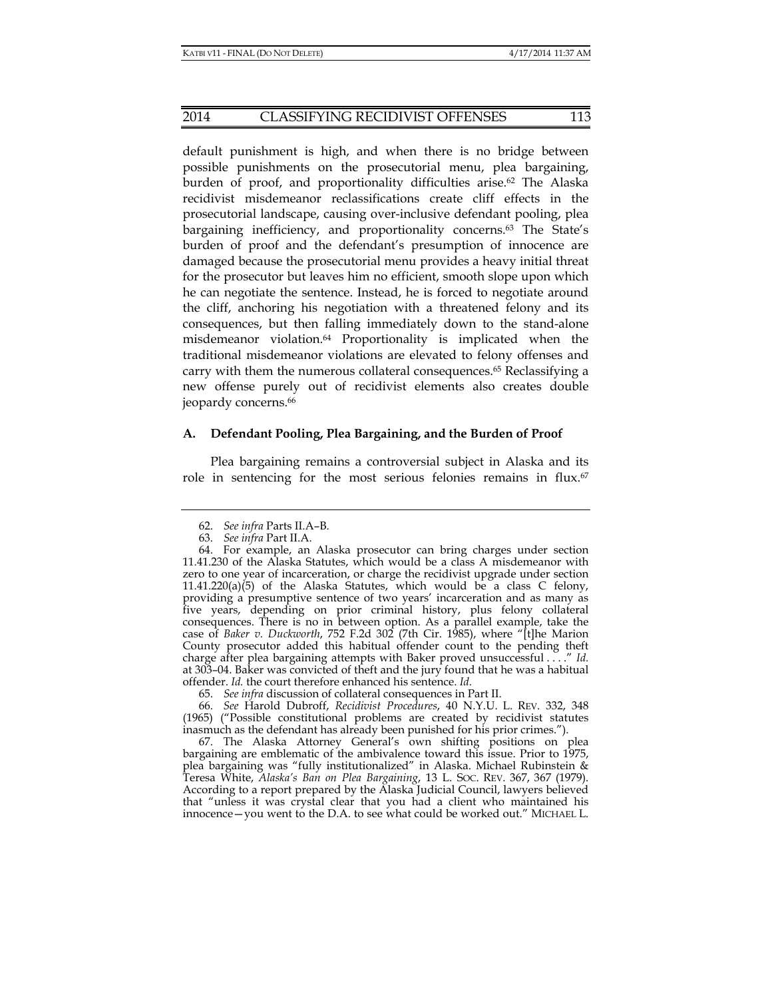#### 2014 CLASSIFYING RECIDIVIST OFFENSES 113

default punishment is high, and when there is no bridge between possible punishments on the prosecutorial menu, plea bargaining, burden of proof, and proportionality difficulties arise.<sup>62</sup> The Alaska recidivist misdemeanor reclassifications create cliff effects in the prosecutorial landscape, causing over-inclusive defendant pooling, plea bargaining inefficiency, and proportionality concerns.<sup>63</sup> The State's burden of proof and the defendant's presumption of innocence are damaged because the prosecutorial menu provides a heavy initial threat for the prosecutor but leaves him no efficient, smooth slope upon which he can negotiate the sentence. Instead, he is forced to negotiate around the cliff, anchoring his negotiation with a threatened felony and its consequences, but then falling immediately down to the stand-alone misdemeanor violation.64 Proportionality is implicated when the traditional misdemeanor violations are elevated to felony offenses and carry with them the numerous collateral consequences.<sup>65</sup> Reclassifying a new offense purely out of recidivist elements also creates double jeopardy concerns.<sup>66</sup>

#### **A. Defendant Pooling, Plea Bargaining, and the Burden of Proof**

Plea bargaining remains a controversial subject in Alaska and its role in sentencing for the most serious felonies remains in flux.67

65. *See infra* discussion of collateral consequences in Part II.

 66. *See* Harold Dubroff, *Recidivist Procedures*, 40 N.Y.U. L. REV. 332, 348 (1965) ("Possible constitutional problems are created by recidivist statutes inasmuch as the defendant has already been punished for his prior crimes.").

 67. The Alaska Attorney General's own shifting positions on plea bargaining are emblematic of the ambivalence toward this issue. Prior to 1975, plea bargaining was "fully institutionalized" in Alaska. Michael Rubinstein & Teresa White, *Alaska's Ban on Plea Bargaining*, 13 L. SOC. REV. 367, 367 (1979). According to a report prepared by the Alaska Judicial Council, lawyers believed that "unless it was crystal clear that you had a client who maintained his innocence—you went to the D.A. to see what could be worked out." MICHAEL L.

 <sup>62.</sup> *See infra* Parts II.A–B.

 <sup>63.</sup> *See infra* Part II.A.

 <sup>64.</sup> For example, an Alaska prosecutor can bring charges under section 11.41.230 of the Alaska Statutes, which would be a class A misdemeanor with zero to one year of incarceration, or charge the recidivist upgrade under section 11.41.220(a) $(5)$  of the Alaska Statutes, which would be a class C felony, providing a presumptive sentence of two years' incarceration and as many as five years, depending on prior criminal history, plus felony collateral consequences. There is no in between option. As a parallel example, take the case of *Baker v. Duckworth*, 752 F.2d 302 (7th Cir. 1985), where "[t]he Marion County prosecutor added this habitual offender count to the pending theft charge after plea bargaining attempts with Baker proved unsuccessful . . . ." *Id.* at 303–04. Baker was convicted of theft and the jury found that he was a habitual offender. *Id.* the court therefore enhanced his sentence. *Id.*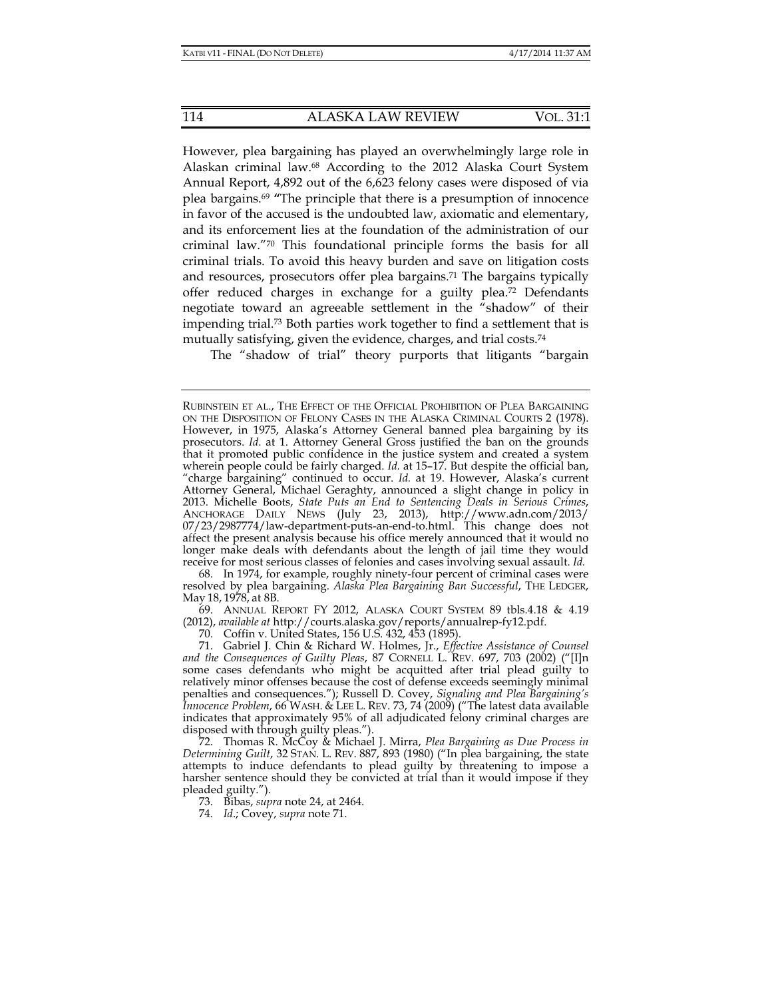However, plea bargaining has played an overwhelmingly large role in Alaskan criminal law.68 According to the 2012 Alaska Court System Annual Report, 4,892 out of the 6,623 felony cases were disposed of via plea bargains.69 **"**The principle that there is a presumption of innocence in favor of the accused is the undoubted law, axiomatic and elementary, and its enforcement lies at the foundation of the administration of our criminal law."70 This foundational principle forms the basis for all criminal trials. To avoid this heavy burden and save on litigation costs and resources, prosecutors offer plea bargains.71 The bargains typically offer reduced charges in exchange for a guilty plea.72 Defendants negotiate toward an agreeable settlement in the "shadow" of their impending trial.73 Both parties work together to find a settlement that is mutually satisfying, given the evidence, charges, and trial costs.74

The "shadow of trial" theory purports that litigants "bargain

 68. In 1974, for example, roughly ninety-four percent of criminal cases were resolved by plea bargaining. *Alaska Plea Bargaining Ban Successful*, THE LEDGER, May 18, 1978, at 8B.

 69. ANNUAL REPORT FY 2012, ALASKA COURT SYSTEM 89 tbls.4.18 & 4.19 (2012), *available at* http://courts.alaska.gov/reports/annualrep-fy12.pdf.

70. Coffin v. United States, 156 U.S. 432, 453 (1895).

 72. Thomas R. McCoy & Michael J. Mirra, *Plea Bargaining as Due Process in Determining Guilt*, 32 STAN. L. REV. 887, 893 (1980) ("In plea bargaining, the state attempts to induce defendants to plead guilty by threatening to impose a harsher sentence should they be convicted at trial than it would impose if they pleaded guilty.").

73. Bibas, *supra* note 24, at 2464.

74*. Id*.; Covey, *supra* note 71.

RUBINSTEIN ET AL., THE EFFECT OF THE OFFICIAL PROHIBITION OF PLEA BARGAINING ON THE DISPOSITION OF FELONY CASES IN THE ALASKA CRIMINAL COURTS 2 (1978). However, in 1975, Alaska's Attorney General banned plea bargaining by its prosecutors. *Id*. at 1. Attorney General Gross justified the ban on the grounds that it promoted public confidence in the justice system and created a system wherein people could be fairly charged. *Id.* at 15–17. But despite the official ban, "charge bargaining" continued to occur. *Id.* at 19. However, Alaska's current Attorney General, Michael Geraghty, announced a slight change in policy in 2013. Michelle Boots, *State Puts an End to Sentencing Deals in Serious Crimes*, ANCHORAGE DAILY NEWS (July 23, 2013), http://www.adn.com/2013/ 07/23/2987774/law-department-puts-an-end-to.html. This change does not affect the present analysis because his office merely announced that it would no longer make deals with defendants about the length of jail time they would receive for most serious classes of felonies and cases involving sexual assault. *Id.*

 <sup>71.</sup> Gabriel J. Chin & Richard W. Holmes, Jr., *Effective Assistance of Counsel and the Consequences of Guilty Pleas*, 87 CORNELL L. REV. 697, 703 (2002) ("[I]n some cases defendants who might be acquitted after trial plead guilty to relatively minor offenses because the cost of defense exceeds seemingly minimal penalties and consequences."); Russell D. Covey, *Signaling and Plea Bargaining's Innocence Problem*, 66 WASH. & LEE L. REV. 73, 74 (2009) ("The latest data available indicates that approximately 95% of all adjudicated felony criminal charges are disposed with through guilty pleas.").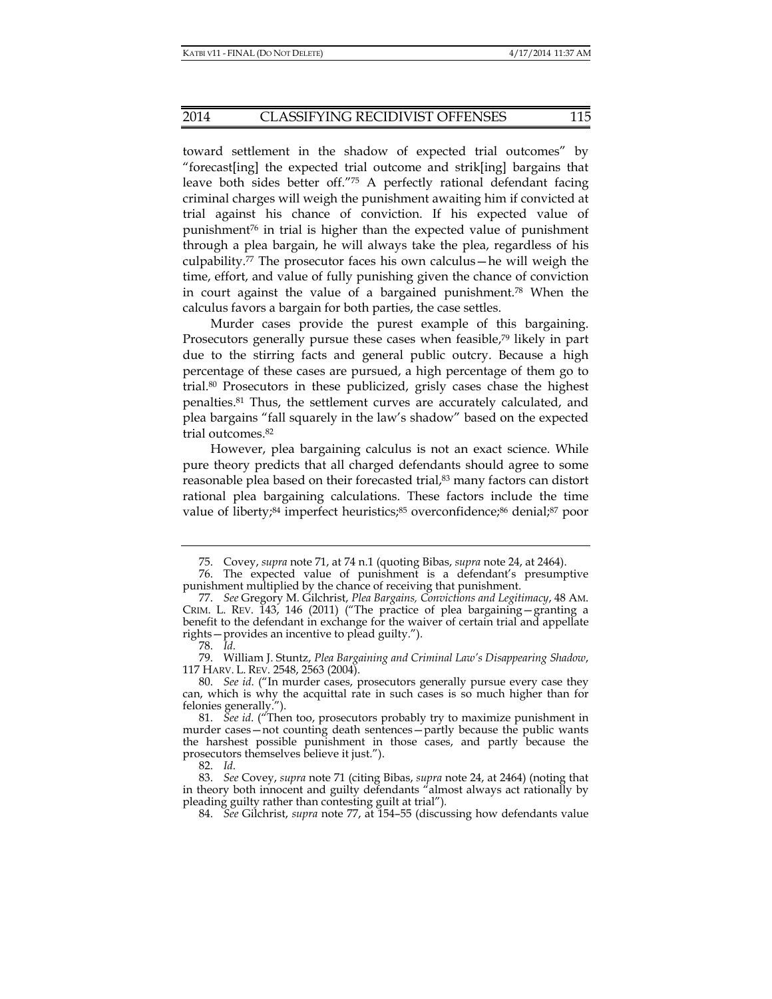toward settlement in the shadow of expected trial outcomes" by "forecast[ing] the expected trial outcome and strik[ing] bargains that leave both sides better off."75 A perfectly rational defendant facing criminal charges will weigh the punishment awaiting him if convicted at trial against his chance of conviction. If his expected value of punishment76 in trial is higher than the expected value of punishment through a plea bargain, he will always take the plea, regardless of his culpability.<sup>77</sup> The prosecutor faces his own calculus—he will weigh the time, effort, and value of fully punishing given the chance of conviction in court against the value of a bargained punishment.<sup>78</sup> When the calculus favors a bargain for both parties, the case settles.

Murder cases provide the purest example of this bargaining. Prosecutors generally pursue these cases when feasible,<sup>79</sup> likely in part due to the stirring facts and general public outcry. Because a high percentage of these cases are pursued, a high percentage of them go to trial.80 Prosecutors in these publicized, grisly cases chase the highest penalties.81 Thus, the settlement curves are accurately calculated, and plea bargains "fall squarely in the law's shadow" based on the expected trial outcomes.82

However, plea bargaining calculus is not an exact science. While pure theory predicts that all charged defendants should agree to some reasonable plea based on their forecasted trial,<sup>83</sup> many factors can distort rational plea bargaining calculations. These factors include the time value of liberty;<sup>84</sup> imperfect heuristics;<sup>85</sup> overconfidence;<sup>86</sup> denial;<sup>87</sup> poor

82. *Id*.

 <sup>75.</sup> Covey, *supra* note 71, at 74 n.1 (quoting Bibas, *supra* note 24, at 2464).

 <sup>76.</sup> The expected value of punishment is a defendant's presumptive punishment multiplied by the chance of receiving that punishment.

 <sup>77.</sup> *See* Gregory M. Gilchrist, *Plea Bargains, Convictions and Legitimacy*, 48 AM. CRIM. L. REV. 143, 146 (2011) ("The practice of plea bargaining—granting a benefit to the defendant in exchange for the waiver of certain trial and appellate rights—provides an incentive to plead guilty.").

 <sup>78.</sup> *Id*.

 <sup>79.</sup> William J. Stuntz, *Plea Bargaining and Criminal Law's Disappearing Shadow*, 117 HARV. L. REV. 2548, 2563 (2004).

 <sup>80.</sup> *See id*. ("In murder cases, prosecutors generally pursue every case they can, which is why the acquittal rate in such cases is so much higher than for felonies generally.").

 <sup>81.</sup> *See id*. ("Then too, prosecutors probably try to maximize punishment in murder cases—not counting death sentences—partly because the public wants the harshest possible punishment in those cases, and partly because the prosecutors themselves believe it just.").

 <sup>83.</sup> *See* Covey, *supra* note 71 (citing Bibas, *supra* note 24, at 2464) (noting that in theory both innocent and guilty defendants "almost always act rationally by pleading guilty rather than contesting guilt at trial")*.*

 <sup>84.</sup> *See* Gilchrist, *supra* note 77, at 154–55 (discussing how defendants value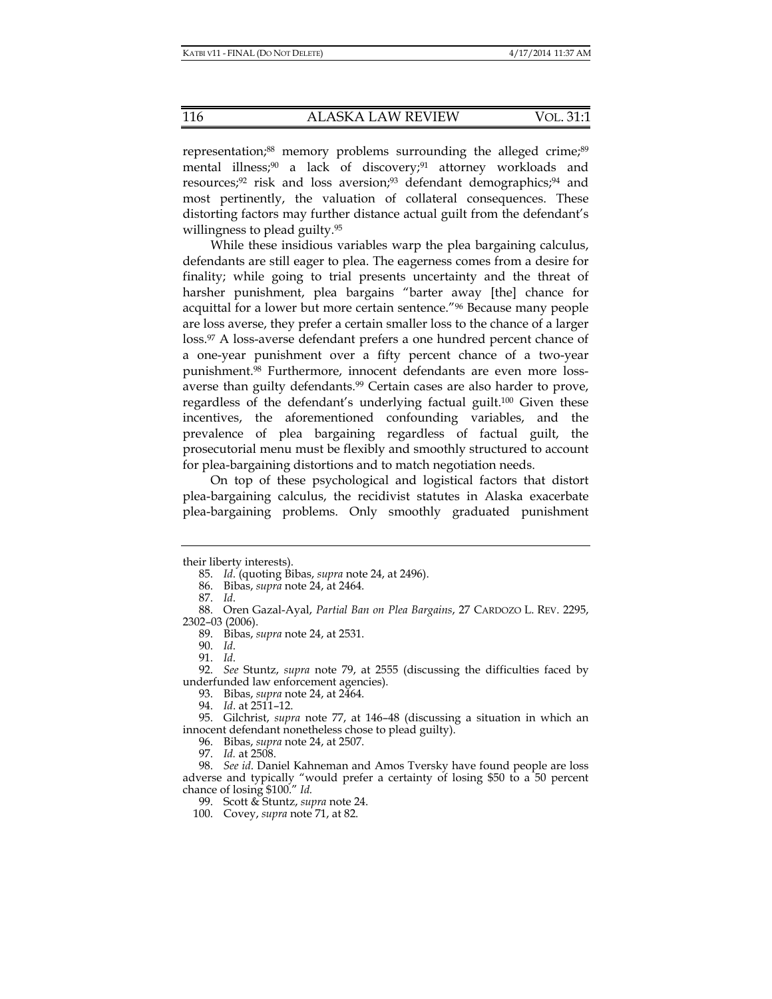representation;<sup>88</sup> memory problems surrounding the alleged crime;<sup>89</sup> mental illness;<sup>90</sup> a lack of discovery;<sup>91</sup> attorney workloads and resources;<sup>92</sup> risk and loss aversion;<sup>93</sup> defendant demographics;<sup>94</sup> and most pertinently, the valuation of collateral consequences. These distorting factors may further distance actual guilt from the defendant's willingness to plead guilty.95

While these insidious variables warp the plea bargaining calculus, defendants are still eager to plea. The eagerness comes from a desire for finality; while going to trial presents uncertainty and the threat of harsher punishment, plea bargains "barter away [the] chance for acquittal for a lower but more certain sentence."96 Because many people are loss averse, they prefer a certain smaller loss to the chance of a larger loss.97 A loss-averse defendant prefers a one hundred percent chance of a one-year punishment over a fifty percent chance of a two-year punishment.98 Furthermore, innocent defendants are even more lossaverse than guilty defendants.99 Certain cases are also harder to prove, regardless of the defendant's underlying factual guilt.100 Given these incentives, the aforementioned confounding variables, and the prevalence of plea bargaining regardless of factual guilt, the prosecutorial menu must be flexibly and smoothly structured to account for plea-bargaining distortions and to match negotiation needs.

On top of these psychological and logistical factors that distort plea-bargaining calculus, the recidivist statutes in Alaska exacerbate plea-bargaining problems. Only smoothly graduated punishment

their liberty interests).

 <sup>85.</sup> *Id*. (quoting Bibas, *supra* note 24, at 2496).

 <sup>86.</sup> Bibas, *supra* note 24, at 2464.

 <sup>87.</sup> *Id*.

 <sup>88.</sup> Oren Gazal-Ayal, *Partial Ban on Plea Bargains*, 27 CARDOZO L. REV. 2295, 2302–03 (2006).

 <sup>89.</sup> Bibas, *supra* note 24, at 2531.

 <sup>90.</sup> *Id*.

 <sup>91.</sup> *Id*.

 <sup>92.</sup> *See* Stuntz, *supra* note 79, at 2555 (discussing the difficulties faced by underfunded law enforcement agencies).

 <sup>93.</sup> Bibas, *supra* note 24, at 2464.

 <sup>94.</sup> *Id*. at 2511–12.

 <sup>95.</sup> Gilchrist, *supra* note 77, at 146–48 (discussing a situation in which an innocent defendant nonetheless chose to plead guilty).

 <sup>96.</sup> Bibas, *supra* note 24, at 2507.

 <sup>97.</sup> *Id.* at 2508.

 <sup>98.</sup> *See id*. Daniel Kahneman and Amos Tversky have found people are loss adverse and typically "would prefer a certainty of losing \$50 to a 50 percent chance of losing \$100." *Id.*

 <sup>99.</sup> Scott & Stuntz, *supra* note 24.

 <sup>100.</sup> Covey, *supra* note 71, at 82.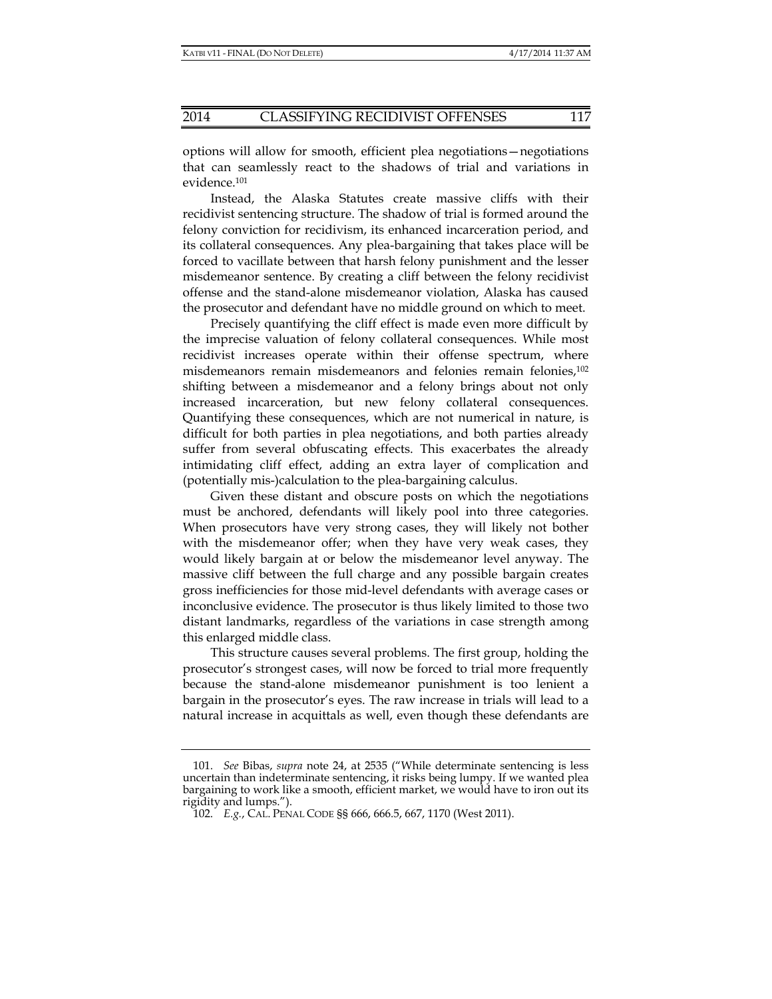options will allow for smooth, efficient plea negotiations—negotiations that can seamlessly react to the shadows of trial and variations in evidence.101

Instead, the Alaska Statutes create massive cliffs with their recidivist sentencing structure. The shadow of trial is formed around the felony conviction for recidivism, its enhanced incarceration period, and its collateral consequences. Any plea-bargaining that takes place will be forced to vacillate between that harsh felony punishment and the lesser misdemeanor sentence. By creating a cliff between the felony recidivist offense and the stand-alone misdemeanor violation, Alaska has caused the prosecutor and defendant have no middle ground on which to meet.

Precisely quantifying the cliff effect is made even more difficult by the imprecise valuation of felony collateral consequences. While most recidivist increases operate within their offense spectrum, where misdemeanors remain misdemeanors and felonies remain felonies,102 shifting between a misdemeanor and a felony brings about not only increased incarceration, but new felony collateral consequences. Quantifying these consequences, which are not numerical in nature, is difficult for both parties in plea negotiations, and both parties already suffer from several obfuscating effects. This exacerbates the already intimidating cliff effect, adding an extra layer of complication and (potentially mis-)calculation to the plea-bargaining calculus.

Given these distant and obscure posts on which the negotiations must be anchored, defendants will likely pool into three categories. When prosecutors have very strong cases, they will likely not bother with the misdemeanor offer; when they have very weak cases, they would likely bargain at or below the misdemeanor level anyway. The massive cliff between the full charge and any possible bargain creates gross inefficiencies for those mid-level defendants with average cases or inconclusive evidence. The prosecutor is thus likely limited to those two distant landmarks, regardless of the variations in case strength among this enlarged middle class.

This structure causes several problems. The first group, holding the prosecutor's strongest cases, will now be forced to trial more frequently because the stand-alone misdemeanor punishment is too lenient a bargain in the prosecutor's eyes. The raw increase in trials will lead to a natural increase in acquittals as well, even though these defendants are

 <sup>101.</sup> *See* Bibas, *supra* note 24, at 2535 ("While determinate sentencing is less uncertain than indeterminate sentencing, it risks being lumpy. If we wanted plea bargaining to work like a smooth, efficient market, we would have to iron out its rigidity and lumps.").

 <sup>102.</sup> *E.g.*, CAL. PENAL CODE §§ 666, 666.5, 667, 1170 (West 2011).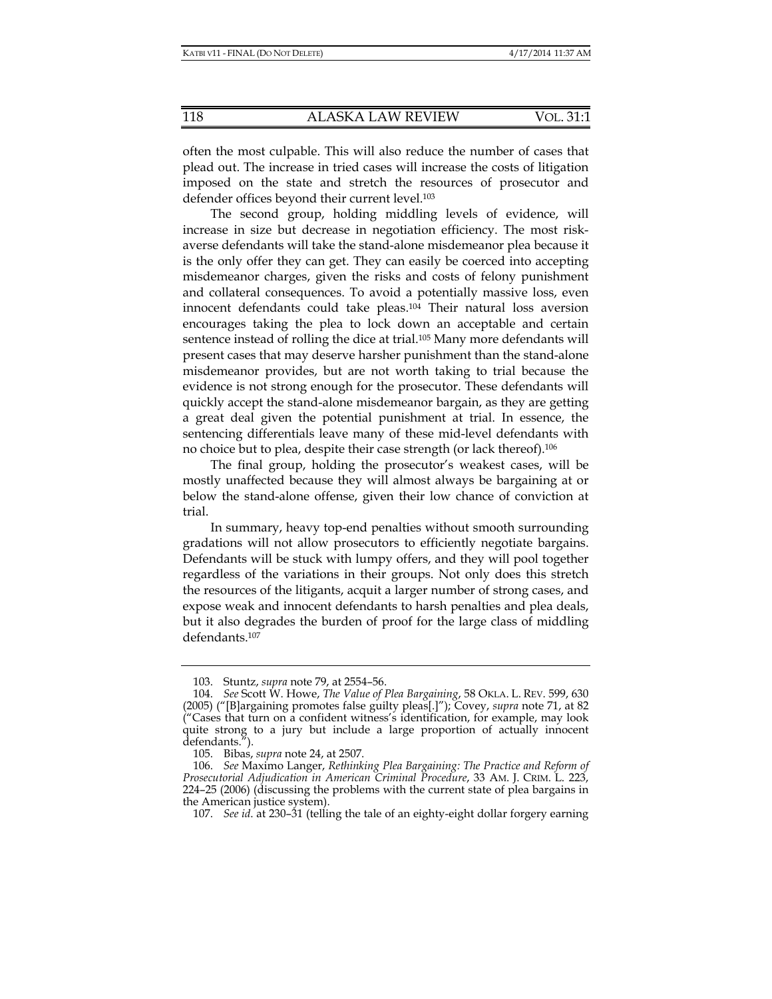often the most culpable. This will also reduce the number of cases that plead out. The increase in tried cases will increase the costs of litigation imposed on the state and stretch the resources of prosecutor and defender offices beyond their current level.<sup>103</sup>

The second group, holding middling levels of evidence, will increase in size but decrease in negotiation efficiency. The most riskaverse defendants will take the stand-alone misdemeanor plea because it is the only offer they can get. They can easily be coerced into accepting misdemeanor charges, given the risks and costs of felony punishment and collateral consequences. To avoid a potentially massive loss, even innocent defendants could take pleas.<sup>104</sup> Their natural loss aversion encourages taking the plea to lock down an acceptable and certain sentence instead of rolling the dice at trial.<sup>105</sup> Many more defendants will present cases that may deserve harsher punishment than the stand-alone misdemeanor provides, but are not worth taking to trial because the evidence is not strong enough for the prosecutor. These defendants will quickly accept the stand-alone misdemeanor bargain, as they are getting a great deal given the potential punishment at trial. In essence, the sentencing differentials leave many of these mid-level defendants with no choice but to plea, despite their case strength (or lack thereof).106

The final group, holding the prosecutor's weakest cases, will be mostly unaffected because they will almost always be bargaining at or below the stand-alone offense, given their low chance of conviction at trial.

In summary, heavy top-end penalties without smooth surrounding gradations will not allow prosecutors to efficiently negotiate bargains. Defendants will be stuck with lumpy offers, and they will pool together regardless of the variations in their groups. Not only does this stretch the resources of the litigants, acquit a larger number of strong cases, and expose weak and innocent defendants to harsh penalties and plea deals, but it also degrades the burden of proof for the large class of middling defendants.107

107. *See id*. at 230–31 (telling the tale of an eighty-eight dollar forgery earning

 <sup>103.</sup> Stuntz, *supra* note 79, at 2554–56.

 <sup>104.</sup> *See* Scott W. Howe, *The Value of Plea Bargaining*, 58 OKLA. L. REV. 599, 630 (2005) ("[B]argaining promotes false guilty pleas[.]"); Covey, *supra* note 71, at 82 ("Cases that turn on a confident witness's identification, for example, may look quite strong to a jury but include a large proportion of actually innocent defendants.").

 <sup>105.</sup> Bibas, *supra* note 24, at 2507.

 <sup>106.</sup> *See* Maximo Langer, *Rethinking Plea Bargaining: The Practice and Reform of Prosecutorial Adjudication in American Criminal Procedure*, 33 AM. J. CRIM. L. 223, 224–25 (2006) (discussing the problems with the current state of plea bargains in the American justice system).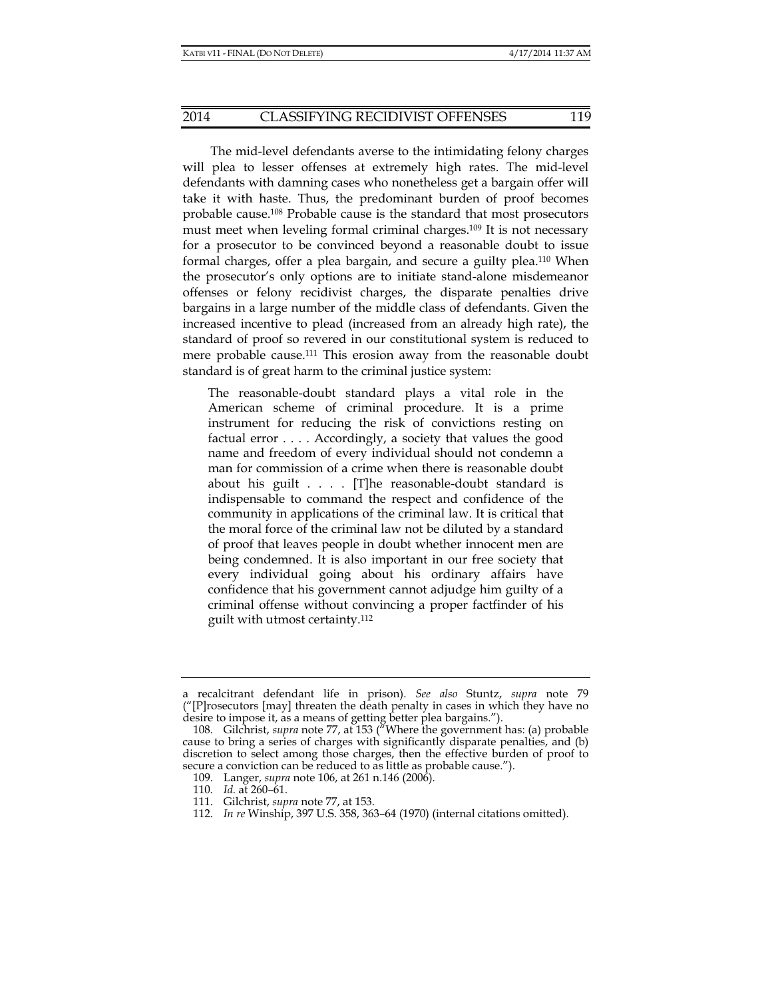The mid-level defendants averse to the intimidating felony charges will plea to lesser offenses at extremely high rates. The mid-level defendants with damning cases who nonetheless get a bargain offer will take it with haste. Thus, the predominant burden of proof becomes probable cause.108 Probable cause is the standard that most prosecutors must meet when leveling formal criminal charges.109 It is not necessary for a prosecutor to be convinced beyond a reasonable doubt to issue formal charges, offer a plea bargain, and secure a guilty plea.110 When the prosecutor's only options are to initiate stand-alone misdemeanor offenses or felony recidivist charges, the disparate penalties drive bargains in a large number of the middle class of defendants. Given the increased incentive to plead (increased from an already high rate), the standard of proof so revered in our constitutional system is reduced to mere probable cause.111 This erosion away from the reasonable doubt standard is of great harm to the criminal justice system:

The reasonable-doubt standard plays a vital role in the American scheme of criminal procedure. It is a prime instrument for reducing the risk of convictions resting on factual error . . . . Accordingly, a society that values the good name and freedom of every individual should not condemn a man for commission of a crime when there is reasonable doubt about his guilt . . . . [T]he reasonable-doubt standard is indispensable to command the respect and confidence of the community in applications of the criminal law. It is critical that the moral force of the criminal law not be diluted by a standard of proof that leaves people in doubt whether innocent men are being condemned. It is also important in our free society that every individual going about his ordinary affairs have confidence that his government cannot adjudge him guilty of a criminal offense without convincing a proper factfinder of his guilt with utmost certainty.112

a recalcitrant defendant life in prison). *See also* Stuntz, *supra* note 79 ("[P]rosecutors [may] threaten the death penalty in cases in which they have no desire to impose it, as a means of getting better plea bargains.").

 <sup>108.</sup> Gilchrist, *supra* note 77, at 153 ("Where the government has: (a) probable cause to bring a series of charges with significantly disparate penalties, and (b) discretion to select among those charges, then the effective burden of proof to secure a conviction can be reduced to as little as probable cause.").

 <sup>109.</sup> Langer, *supra* note 106, at 261 n.146 (2006).

<sup>110</sup>*. Id.* at 260–61.

 <sup>111.</sup> Gilchrist, *supra* note 77, at 153.

 <sup>112.</sup> *In re* Winship, 397 U.S. 358, 363–64 (1970) (internal citations omitted).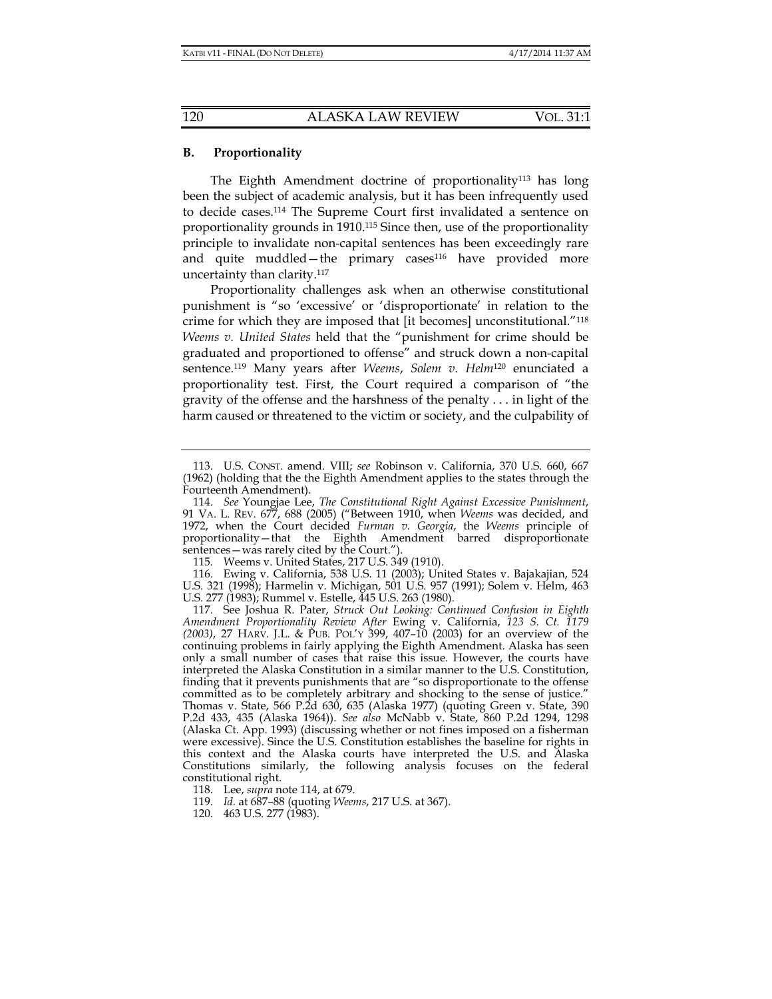#### **B. Proportionality**

The Eighth Amendment doctrine of proportionality<sup>113</sup> has long been the subject of academic analysis, but it has been infrequently used to decide cases.114 The Supreme Court first invalidated a sentence on proportionality grounds in 1910.115 Since then, use of the proportionality principle to invalidate non-capital sentences has been exceedingly rare and quite muddled—the primary cases<sup>116</sup> have provided more uncertainty than clarity.117

Proportionality challenges ask when an otherwise constitutional punishment is "so 'excessive' or 'disproportionate' in relation to the crime for which they are imposed that [it becomes] unconstitutional."118 *Weems v. United States* held that the "punishment for crime should be graduated and proportioned to offense" and struck down a non-capital sentence.119 Many years after *Weems*, *Solem v. Helm*120 enunciated a proportionality test. First, the Court required a comparison of "the gravity of the offense and the harshness of the penalty . . . in light of the harm caused or threatened to the victim or society, and the culpability of

115*.* Weems v. United States, 217 U.S. 349 (1910).

 116. Ewing v. California, 538 U.S. 11 (2003); United States v. Bajakajian, 524 U.S. 321 (1998); Harmelin v. Michigan, 501 U.S. 957 (1991); Solem v. Helm, 463 U.S. 277 (1983); Rummel v. Estelle, 445 U.S. 263 (1980).

 <sup>113.</sup> U.S. CONST. amend. VIII; *see* Robinson v. California, 370 U.S. 660, 667 (1962) (holding that the the Eighth Amendment applies to the states through the Fourteenth Amendment).

 <sup>114.</sup> *See* Youngjae Lee, *The Constitutional Right Against Excessive Punishment*, 91 VA. L. REV. 677, 688 (2005) ("Between 1910, when *Weems* was decided, and 1972, when the Court decided *Furman v. Georgia*, the *Weems* principle of proportionality—that the Eighth Amendment barred disproportionate sentences—was rarely cited by the Court.").

 <sup>117.</sup> See Joshua R. Pater, *Struck Out Looking: Continued Confusion in Eighth Amendment Proportionality Review After* Ewing v. California, *123 S. Ct. 1179 (2003)*, 27 HARV. J.L. & PUB. POL'Y 399, 407–10 (2003) for an overview of the continuing problems in fairly applying the Eighth Amendment. Alaska has seen only a small number of cases that raise this issue. However, the courts have interpreted the Alaska Constitution in a similar manner to the U.S. Constitution, finding that it prevents punishments that are "so disproportionate to the offense committed as to be completely arbitrary and shocking to the sense of justice." Thomas v. State, 566 P.2d 630, 635 (Alaska 1977) (quoting Green v. State, 390 P.2d 433, 435 (Alaska 1964)). *See also* McNabb v. State, 860 P.2d 1294, 1298 (Alaska Ct. App. 1993) (discussing whether or not fines imposed on a fisherman were excessive). Since the U.S. Constitution establishes the baseline for rights in this context and the Alaska courts have interpreted the U.S. and Alaska Constitutions similarly, the following analysis focuses on the federal constitutional right.

 <sup>118.</sup> Lee, *supra* note 114, at 679.

 <sup>119.</sup> *Id.* at 687–88 (quoting *Weems*, 217 U.S. at 367).

 <sup>120. 463</sup> U.S. 277 (1983).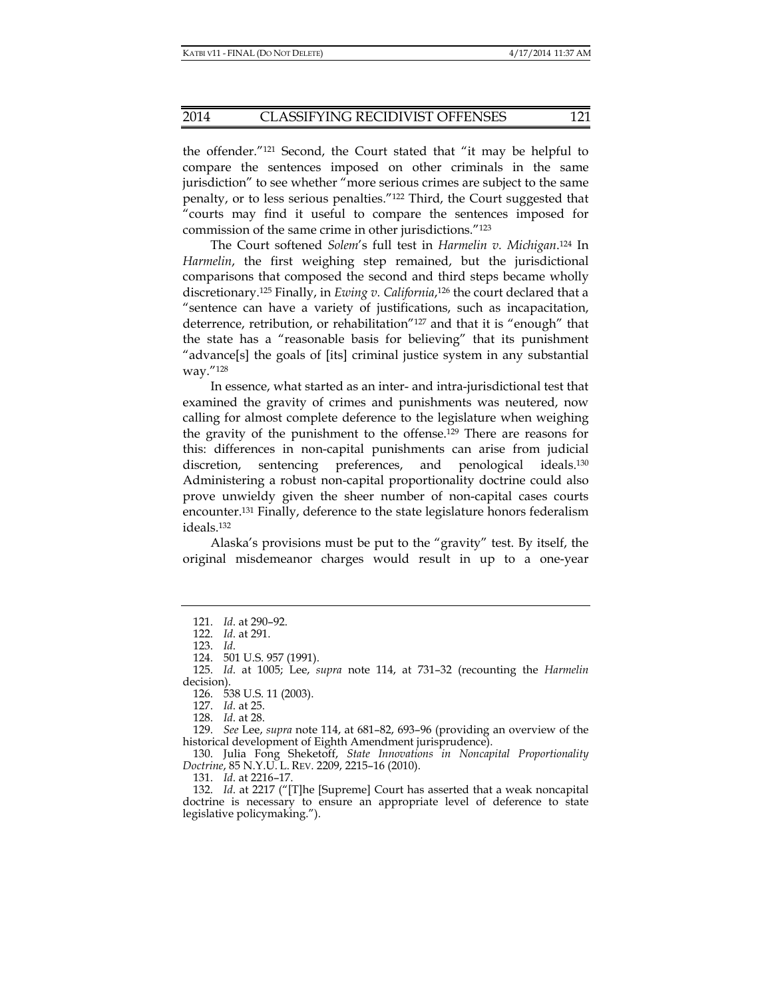the offender."121 Second, the Court stated that "it may be helpful to compare the sentences imposed on other criminals in the same jurisdiction" to see whether "more serious crimes are subject to the same penalty, or to less serious penalties."122 Third, the Court suggested that "courts may find it useful to compare the sentences imposed for commission of the same crime in other jurisdictions."123

The Court softened *Solem*'s full test in *Harmelin v. Michigan*. 124 In *Harmelin*, the first weighing step remained, but the jurisdictional comparisons that composed the second and third steps became wholly discretionary.125 Finally, in *Ewing v. California*,126 the court declared that a "sentence can have a variety of justifications, such as incapacitation, deterrence, retribution, or rehabilitation"127 and that it is "enough" that the state has a "reasonable basis for believing" that its punishment "advance[s] the goals of [its] criminal justice system in any substantial way."128

In essence, what started as an inter- and intra-jurisdictional test that examined the gravity of crimes and punishments was neutered, now calling for almost complete deference to the legislature when weighing the gravity of the punishment to the offense.129 There are reasons for this: differences in non-capital punishments can arise from judicial discretion, sentencing preferences, and penological ideals.<sup>130</sup> Administering a robust non-capital proportionality doctrine could also prove unwieldy given the sheer number of non-capital cases courts encounter.131 Finally, deference to the state legislature honors federalism ideals.132

Alaska's provisions must be put to the "gravity" test. By itself, the original misdemeanor charges would result in up to a one-year

126. 538 U.S. 11 (2003).

127. *Id*. at 25.

128. *Id*. at 28.

 129. *See* Lee, *supra* note 114, at 681–82, 693–96 (providing an overview of the historical development of Eighth Amendment jurisprudence).

 130. Julia Fong Sheketoff, *State Innovations in Noncapital Proportionality Doctrine*, 85 N.Y.U. L. REV. 2209, 2215–16 (2010).

131. *Id*. at 2216–17.

 132. *Id*. at 2217 ("[T]he [Supreme] Court has asserted that a weak noncapital doctrine is necessary to ensure an appropriate level of deference to state legislative policymaking.").

 <sup>121.</sup> *Id*. at 290–92.

 <sup>122.</sup> *Id*. at 291.

 <sup>123.</sup> *Id*.

 <sup>124. 501</sup> U.S. 957 (1991).

 <sup>125.</sup> *Id*. at 1005; Lee, *supra* note 114, at 731–32 (recounting the *Harmelin* decision).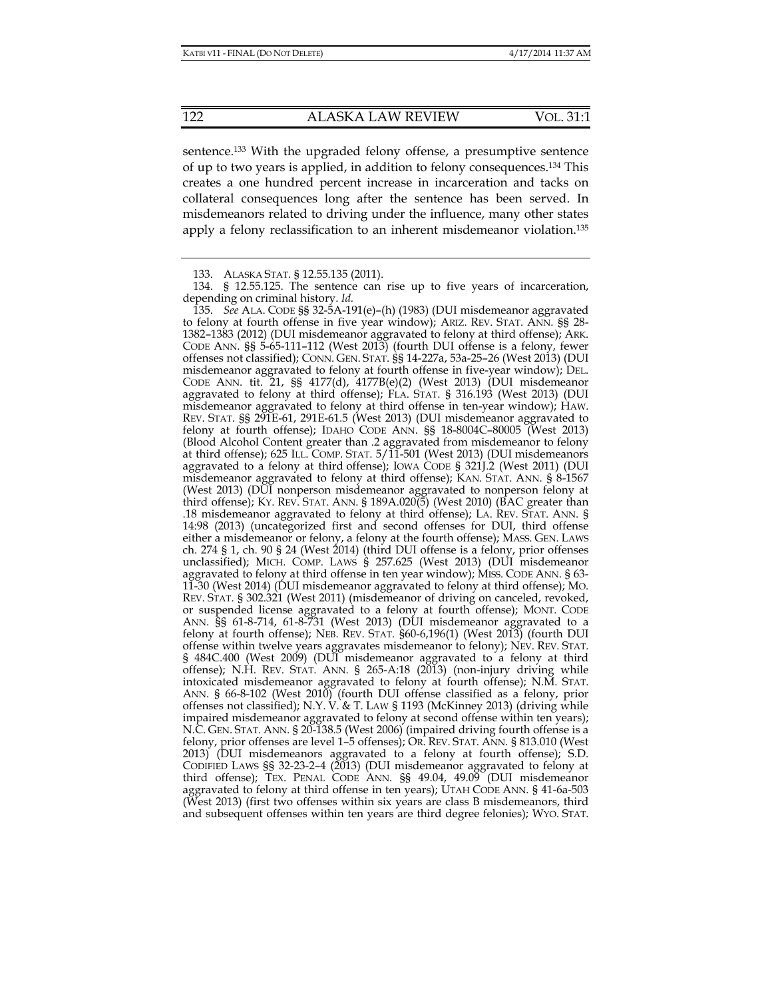sentence.133 With the upgraded felony offense, a presumptive sentence of up to two years is applied, in addition to felony consequences.134 This creates a one hundred percent increase in incarceration and tacks on collateral consequences long after the sentence has been served. In misdemeanors related to driving under the influence, many other states apply a felony reclassification to an inherent misdemeanor violation.135

 <sup>133.</sup> ALASKA STAT. § 12.55.135 (2011).

 <sup>134. § 12.55.125.</sup> The sentence can rise up to five years of incarceration, depending on criminal history. *Id.*

 <sup>135.</sup> *See* ALA. CODE §§ 32-5A-191(e)–(h) (1983) (DUI misdemeanor aggravated to felony at fourth offense in five year window); ARIZ. REV. STAT. ANN. §§ 28- 1382–1383 (2012) (DUI misdemeanor aggravated to felony at third offense); ARK. CODE ANN. §§ 5-65-111–112 (West 2013) (fourth DUI offense is a felony, fewer offenses not classified); CONN. GEN. STAT. §§ 14-227a, 53a-25–26 (West 2013) (DUI misdemeanor aggravated to felony at fourth offense in five-year window); DEL. CODE ANN. tit. 21, §§ 4177(d), 4177B(e)(2) (West 2013) (DUI misdemeanor aggravated to felony at third offense); FLA. STAT. § 316.193 (West 2013) (DUI misdemeanor aggravated to felony at third offense in ten-year window); HAW. REV. STAT. §§ 291E-61, 291E-61.5 (West 2013) (DUI misdemeanor aggravated to felony at fourth offense); IDAHO CODE ANN. §§ 18-8004C–80005 (West 2013) (Blood Alcohol Content greater than .2 aggravated from misdemeanor to felony at third offense); 625 ILL. COMP. STAT. 5/11-501 (West 2013) (DUI misdemeanors aggravated to a felony at third offense); IOWA CODE § 321J.2 (West 2011) (DUI misdemeanor aggravated to felony at third offense); KAN. STAT. ANN. § 8-1567 (West 2013) (DUI nonperson misdemeanor aggravated to nonperson felony at third offense); KY. REV. STAT. ANN. § 189A.020(5) (West 2010) (BAC greater than .18 misdemeanor aggravated to felony at third offense); LA. REV. STAT. ANN. § 14:98 (2013) (uncategorized first and second offenses for DUI, third offense either a misdemeanor or felony, a felony at the fourth offense); MASS. GEN. LAWS ch. 274 § 1, ch. 90 § 24 (West 2014) (third DUI offense is a felony, prior offenses unclassified); MICH. COMP. LAWS § 257.625 (West 2013) (DUI misdemeanor aggravated to felony at third offense in ten year window); MISS. CODE ANN. § 63- 11-30 (West 2014) (DUI misdemeanor aggravated to felony at third offense); MO. REV. STAT. § 302.321 (West 2011) (misdemeanor of driving on canceled, revoked, or suspended license aggravated to a felony at fourth offense); MONT. CODE ANN. §§ 61-8-714, 61-8-731 (West 2013) (DUI misdemeanor aggravated to a felony at fourth offense); NEB. REV. STAT. §60-6,196(1) (West 2013) (fourth DUI offense within twelve years aggravates misdemeanor to felony); NEV. REV. STAT. § 484C.400 (West 2009) (DUI misdemeanor aggravated to a felony at third offense); N.H. REV. STAT. ANN. § 265-A:18 (2013) (non-injury driving while intoxicated misdemeanor aggravated to felony at fourth offense); N.M. STAT. ANN. § 66-8-102 (West 2010) (fourth DUI offense classified as a felony, prior offenses not classified); N.Y. V. & T. LAW § 1193 (McKinney 2013) (driving while impaired misdemeanor aggravated to felony at second offense within ten years); N.C. GEN. STAT. ANN. § 20-138.5 (West 2006) (impaired driving fourth offense is a felony, prior offenses are level 1–5 offenses); OR. REV. STAT. ANN. § 813.010 (West 2013) (DUI misdemeanors aggravated to a felony at fourth offense); S.D. CODIFIED LAWS §§ 32-23-2–4 (2013) (DUI misdemeanor aggravated to felony at third offense); TEX. PENAL CODE ANN. §§ 49.04, 49.09 (DUI misdemeanor aggravated to felony at third offense in ten years); UTAH CODE ANN. § 41-6a-503 (West 2013) (first two offenses within six years are class B misdemeanors, third and subsequent offenses within ten years are third degree felonies); WYO. STAT.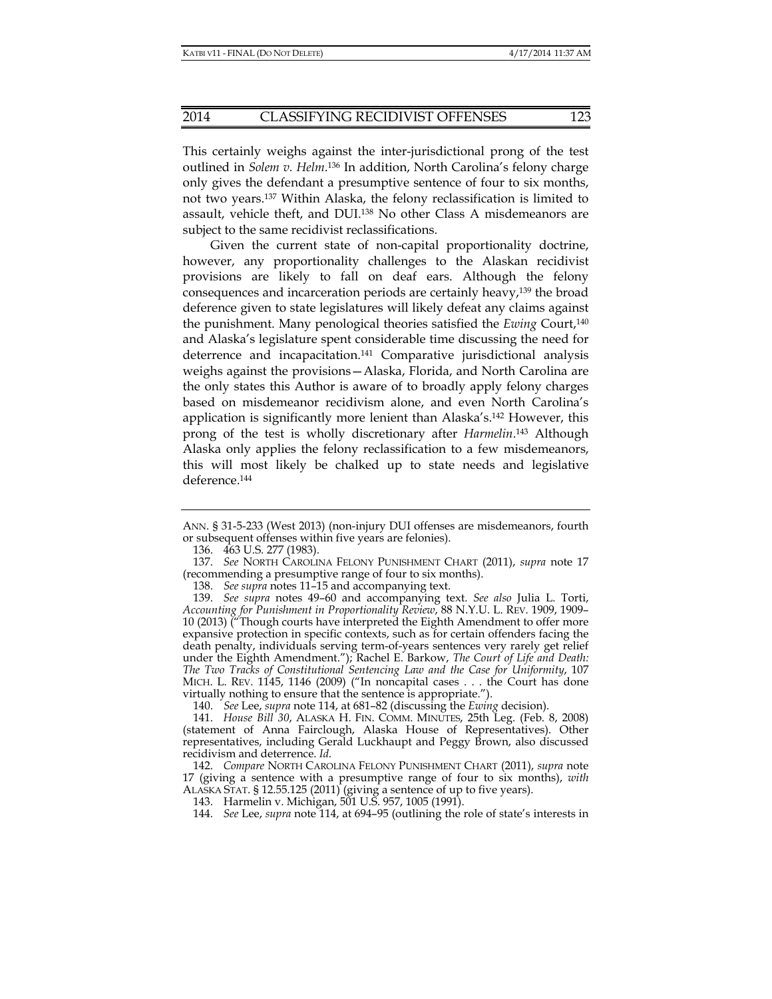This certainly weighs against the inter-jurisdictional prong of the test outlined in *Solem v. Helm*. 136 In addition, North Carolina's felony charge only gives the defendant a presumptive sentence of four to six months, not two years.137 Within Alaska, the felony reclassification is limited to assault, vehicle theft, and DUI.138 No other Class A misdemeanors are subject to the same recidivist reclassifications.

Given the current state of non-capital proportionality doctrine, however, any proportionality challenges to the Alaskan recidivist provisions are likely to fall on deaf ears. Although the felony consequences and incarceration periods are certainly heavy,139 the broad deference given to state legislatures will likely defeat any claims against the punishment. Many penological theories satisfied the *Ewing* Court,140 and Alaska's legislature spent considerable time discussing the need for deterrence and incapacitation.<sup>141</sup> Comparative jurisdictional analysis weighs against the provisions—Alaska, Florida, and North Carolina are the only states this Author is aware of to broadly apply felony charges based on misdemeanor recidivism alone, and even North Carolina's application is significantly more lenient than Alaska's.142 However, this prong of the test is wholly discretionary after *Harmelin*. 143 Although Alaska only applies the felony reclassification to a few misdemeanors, this will most likely be chalked up to state needs and legislative deference.<sup>144</sup>

140. *See* Lee, *supra* note 114, at 681–82 (discussing the *Ewing* decision).

ANN. § 31-5-233 (West 2013) (non-injury DUI offenses are misdemeanors, fourth or subsequent offenses within five years are felonies).

 <sup>136. 463</sup> U.S. 277 (1983).

 <sup>137.</sup> *See* NORTH CAROLINA FELONY PUNISHMENT CHART (2011), *supra* note 17 (recommending a presumptive range of four to six months).

 <sup>138.</sup> *See supra* notes 11–15 and accompanying text.

 <sup>139.</sup> *See supra* notes 49–60 and accompanying text. *See also* Julia L. Torti, *Accounting for Punishment in Proportionality Review*, 88 N.Y.U. L. REV. 1909, 1909– 10 (2013) ("Though courts have interpreted the Eighth Amendment to offer more expansive protection in specific contexts, such as for certain offenders facing the death penalty, individuals serving term-of-years sentences very rarely get relief under the Eighth Amendment."); Rachel E. Barkow, *The Court of Life and Death: The Two Tracks of Constitutional Sentencing Law and the Case for Uniformity*, 107 MICH. L. REV. 1145, 1146 (2009) ("In noncapital cases . . . the Court has done virtually nothing to ensure that the sentence is appropriate.").

 <sup>141.</sup> *House Bill 30*, ALASKA H. FIN. COMM. MINUTES, 25th Leg. (Feb. 8, 2008) (statement of Anna Fairclough, Alaska House of Representatives). Other representatives, including Gerald Luckhaupt and Peggy Brown, also discussed recidivism and deterrence. *Id*.

 <sup>142.</sup> *Compare* NORTH CAROLINA FELONY PUNISHMENT CHART (2011), *supra* note 17 (giving a sentence with a presumptive range of four to six months), *with*  ALASKA STAT. § 12.55.125 (2011) (giving a sentence of up to five years).

 <sup>143.</sup> Harmelin v. Michigan, 501 U.S. 957, 1005 (1991).

 <sup>144.</sup> *See* Lee, *supra* note 114, at 694–95 (outlining the role of state's interests in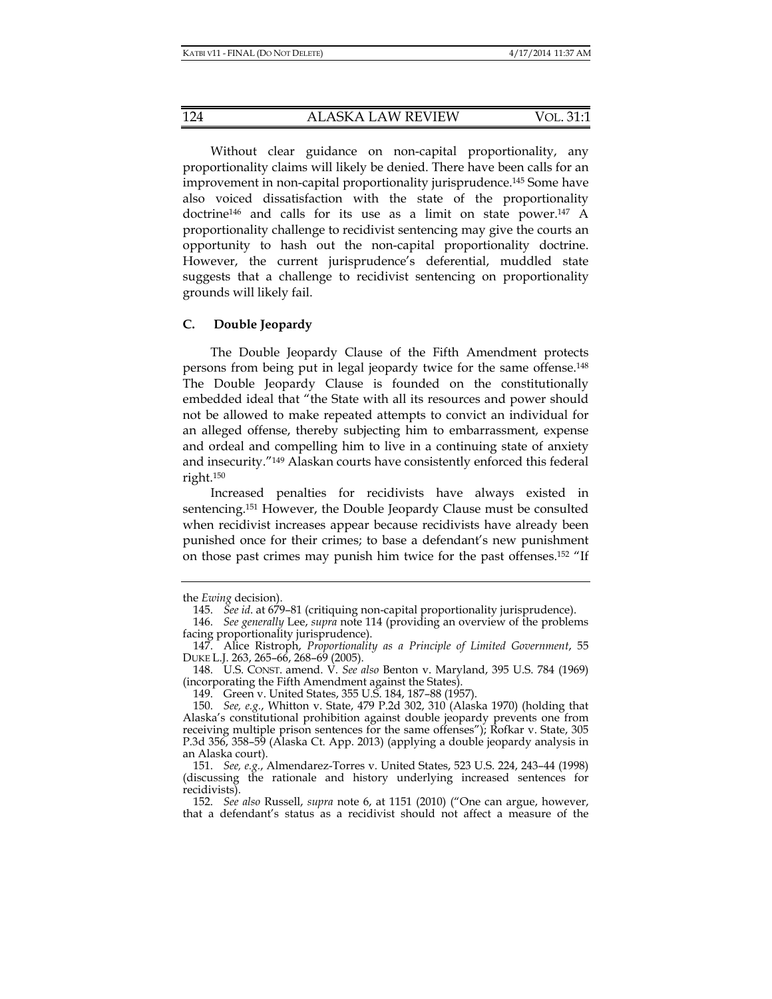Without clear guidance on non-capital proportionality, any proportionality claims will likely be denied. There have been calls for an improvement in non-capital proportionality jurisprudence.145 Some have also voiced dissatisfaction with the state of the proportionality doctrine146 and calls for its use as a limit on state power.147 A proportionality challenge to recidivist sentencing may give the courts an opportunity to hash out the non-capital proportionality doctrine. However, the current jurisprudence's deferential, muddled state suggests that a challenge to recidivist sentencing on proportionality grounds will likely fail.

#### **C. Double Jeopardy**

The Double Jeopardy Clause of the Fifth Amendment protects persons from being put in legal jeopardy twice for the same offense.148 The Double Jeopardy Clause is founded on the constitutionally embedded ideal that "the State with all its resources and power should not be allowed to make repeated attempts to convict an individual for an alleged offense, thereby subjecting him to embarrassment, expense and ordeal and compelling him to live in a continuing state of anxiety and insecurity."149 Alaskan courts have consistently enforced this federal right.150

Increased penalties for recidivists have always existed in sentencing.151 However, the Double Jeopardy Clause must be consulted when recidivist increases appear because recidivists have already been punished once for their crimes; to base a defendant's new punishment on those past crimes may punish him twice for the past offenses.152 "If

the *Ewing* decision).

 <sup>145.</sup> *See id*. at 679–81 (critiquing non-capital proportionality jurisprudence).

 <sup>146.</sup> *See generally* Lee, *supra* note 114 (providing an overview of the problems facing proportionality jurisprudence).

 <sup>147.</sup> Alice Ristroph, *Proportionality as a Principle of Limited Government*, 55 DUKE L.J. 263, 265–66, 268–69 (2005).

 <sup>148.</sup> U.S. CONST. amend. V. *See also* Benton v. Maryland, 395 U.S. 784 (1969) (incorporating the Fifth Amendment against the States).

 <sup>149.</sup> Green v. United States, 355 U.S. 184, 187–88 (1957).

 <sup>150.</sup> *See, e.g.*, Whitton v. State, 479 P.2d 302, 310 (Alaska 1970) (holding that Alaska's constitutional prohibition against double jeopardy prevents one from receiving multiple prison sentences for the same offenses"); Rofkar v. State, 305 P.3d 356, 358–59 (Alaska Ct. App. 2013) (applying a double jeopardy analysis in an Alaska court).

 <sup>151.</sup> *See, e.g.*, Almendarez-Torres v. United States, 523 U.S. 224, 243–44 (1998) (discussing the rationale and history underlying increased sentences for recidivists).

 <sup>152.</sup> *See also* Russell, *supra* note 6, at 1151 (2010) ("One can argue, however, that a defendant's status as a recidivist should not affect a measure of the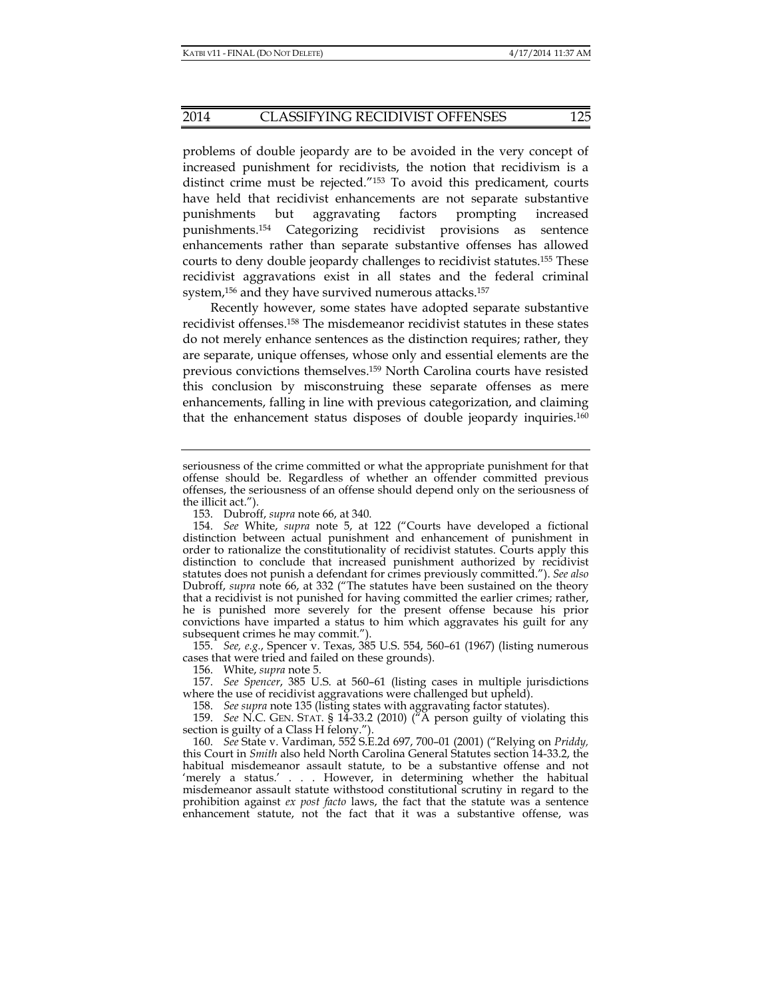#### 2014 CLASSIFYING RECIDIVIST OFFENSES 125

problems of double jeopardy are to be avoided in the very concept of increased punishment for recidivists, the notion that recidivism is a distinct crime must be rejected."153 To avoid this predicament, courts have held that recidivist enhancements are not separate substantive punishments but aggravating factors prompting increased punishments.154 Categorizing recidivist provisions as sentence enhancements rather than separate substantive offenses has allowed courts to deny double jeopardy challenges to recidivist statutes.155 These recidivist aggravations exist in all states and the federal criminal system,156 and they have survived numerous attacks.157

Recently however, some states have adopted separate substantive recidivist offenses.158 The misdemeanor recidivist statutes in these states do not merely enhance sentences as the distinction requires; rather, they are separate, unique offenses, whose only and essential elements are the previous convictions themselves.159 North Carolina courts have resisted this conclusion by misconstruing these separate offenses as mere enhancements, falling in line with previous categorization, and claiming that the enhancement status disposes of double jeopardy inquiries.160

 155. *See, e.g.*, Spencer v. Texas, 385 U.S. 554, 560–61 (1967) (listing numerous cases that were tried and failed on these grounds).

156. White, *supra* note 5.

 157. *See Spencer*, 385 U.S. at 560–61 (listing cases in multiple jurisdictions where the use of recidivist aggravations were challenged but upheld).

158. *See supra* note 135 (listing states with aggravating factor statutes).

 159. *See* N.C. GEN. STAT. § 14-33.2 (2010) ("A person guilty of violating this section is guilty of a Class H felony.").

 160. *See* State v. Vardiman, 552 S.E.2d 697, 700–01 (2001) ("Relying on *Priddy,* this Court in *Smith* also held North Carolina General Statutes section 14-33.2, the habitual misdemeanor assault statute, to be a substantive offense and not 'merely a status.' . . . However, in determining whether the habitual misdemeanor assault statute withstood constitutional scrutiny in regard to the prohibition against *ex post facto* laws, the fact that the statute was a sentence enhancement statute, not the fact that it was a substantive offense, was

seriousness of the crime committed or what the appropriate punishment for that offense should be. Regardless of whether an offender committed previous offenses, the seriousness of an offense should depend only on the seriousness of the illicit act.").

 <sup>153.</sup> Dubroff, *supra* note 66, at 340.

 <sup>154.</sup> *See* White, *supra* note 5, at 122 ("Courts have developed a fictional distinction between actual punishment and enhancement of punishment in order to rationalize the constitutionality of recidivist statutes. Courts apply this distinction to conclude that increased punishment authorized by recidivist statutes does not punish a defendant for crimes previously committed."). *See also*  Dubroff, *supra* note 66, at 332 ("The statutes have been sustained on the theory that a recidivist is not punished for having committed the earlier crimes; rather, he is punished more severely for the present offense because his prior convictions have imparted a status to him which aggravates his guilt for any subsequent crimes he may commit.").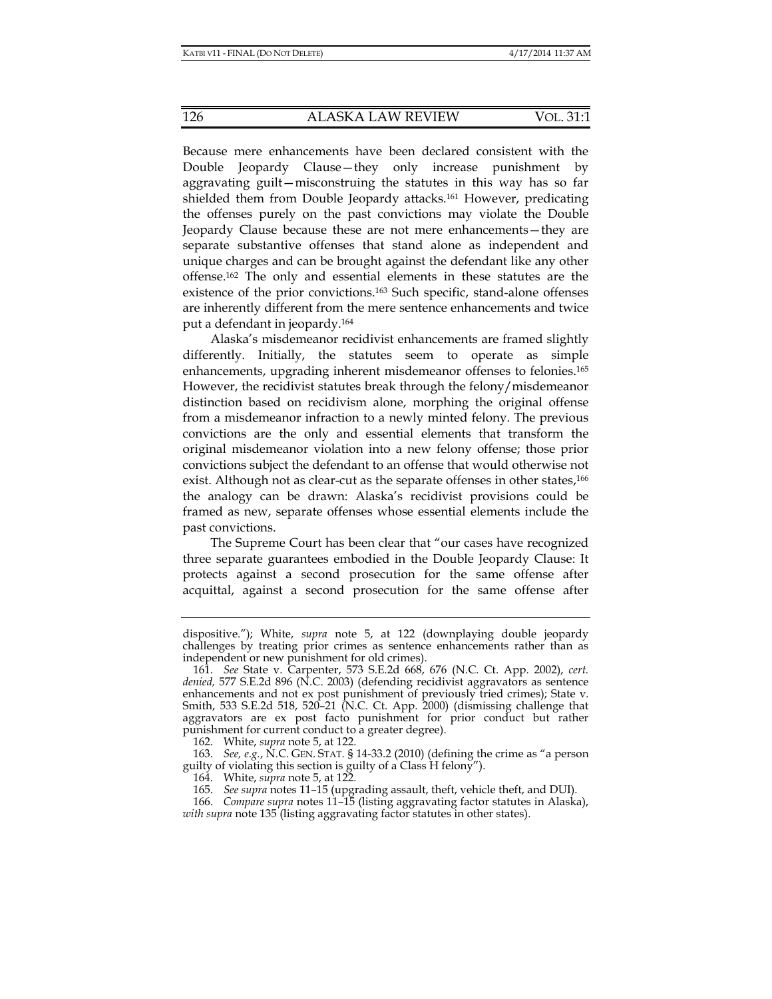Because mere enhancements have been declared consistent with the Double Jeopardy Clause—they only increase punishment by aggravating guilt—misconstruing the statutes in this way has so far shielded them from Double Jeopardy attacks.<sup>161</sup> However, predicating the offenses purely on the past convictions may violate the Double Jeopardy Clause because these are not mere enhancements—they are separate substantive offenses that stand alone as independent and unique charges and can be brought against the defendant like any other offense.162 The only and essential elements in these statutes are the existence of the prior convictions.163 Such specific, stand-alone offenses are inherently different from the mere sentence enhancements and twice put a defendant in jeopardy.164

Alaska's misdemeanor recidivist enhancements are framed slightly differently. Initially, the statutes seem to operate as simple enhancements, upgrading inherent misdemeanor offenses to felonies.165 However, the recidivist statutes break through the felony/misdemeanor distinction based on recidivism alone, morphing the original offense from a misdemeanor infraction to a newly minted felony. The previous convictions are the only and essential elements that transform the original misdemeanor violation into a new felony offense; those prior convictions subject the defendant to an offense that would otherwise not exist. Although not as clear-cut as the separate offenses in other states,<sup>166</sup> the analogy can be drawn: Alaska's recidivist provisions could be framed as new, separate offenses whose essential elements include the past convictions.

The Supreme Court has been clear that "our cases have recognized three separate guarantees embodied in the Double Jeopardy Clause: It protects against a second prosecution for the same offense after acquittal, against a second prosecution for the same offense after

dispositive."); White, *supra* note 5, at 122 (downplaying double jeopardy challenges by treating prior crimes as sentence enhancements rather than as independent or new punishment for old crimes).

 <sup>161.</sup> *See* State v. Carpenter, 573 S.E.2d 668, 676 (N.C. Ct. App. 2002), *cert. denied,* 577 S.E.2d 896 (N.C. 2003) (defending recidivist aggravators as sentence enhancements and not ex post punishment of previously tried crimes); State v. Smith, 533 S.E.2d 518, 520–21 (N.C. Ct. App. 2000) (dismissing challenge that aggravators are ex post facto punishment for prior conduct but rather punishment for current conduct to a greater degree).

 <sup>162.</sup> White, *supra* note 5, at 122.

 <sup>163.</sup> *See, e*.*g.*, N.C. GEN. STAT. § 14-33.2 (2010) (defining the crime as "a person guilty of violating this section is guilty of a Class H felony").

 <sup>164.</sup> White, *supra* note 5, at 122.

 <sup>165.</sup> *See supra* notes 11–15 (upgrading assault, theft, vehicle theft, and DUI).

 <sup>166.</sup> *Compare supra* notes 11–15 (listing aggravating factor statutes in Alaska), *with supra* note 135 (listing aggravating factor statutes in other states).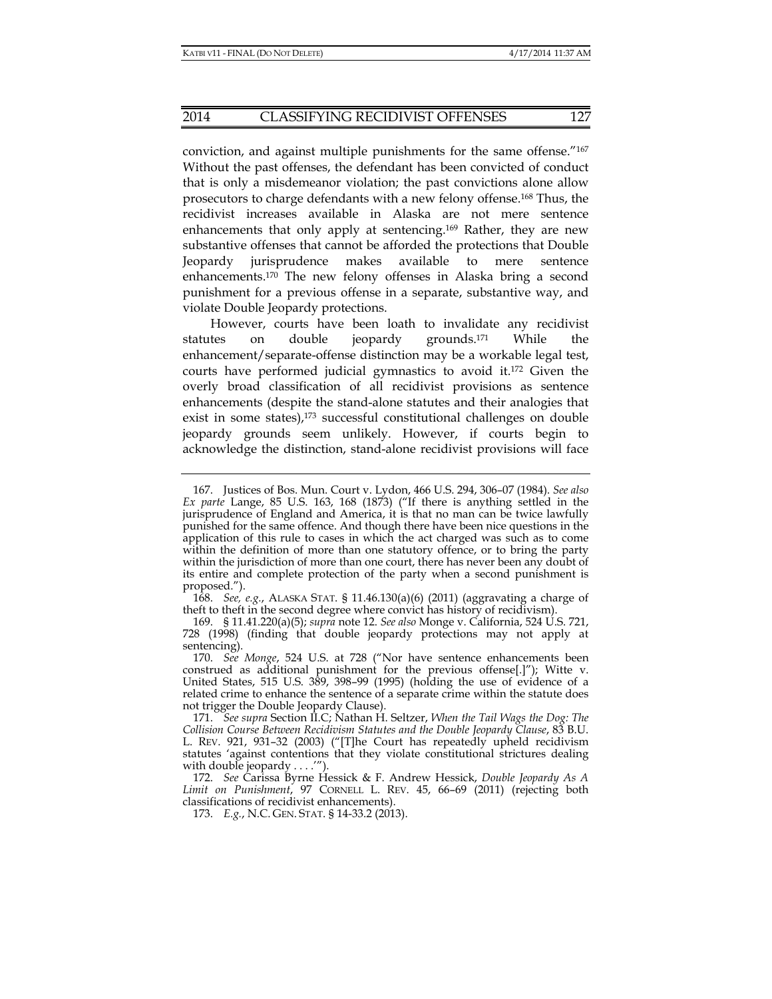conviction, and against multiple punishments for the same offense."167 Without the past offenses, the defendant has been convicted of conduct that is only a misdemeanor violation; the past convictions alone allow prosecutors to charge defendants with a new felony offense.168 Thus, the recidivist increases available in Alaska are not mere sentence enhancements that only apply at sentencing.<sup>169</sup> Rather, they are new substantive offenses that cannot be afforded the protections that Double Jeopardy jurisprudence makes available to mere sentence enhancements.170 The new felony offenses in Alaska bring a second punishment for a previous offense in a separate, substantive way, and violate Double Jeopardy protections.

However, courts have been loath to invalidate any recidivist statutes on double jeopardy grounds.171 While the enhancement/separate-offense distinction may be a workable legal test, courts have performed judicial gymnastics to avoid it.172 Given the overly broad classification of all recidivist provisions as sentence enhancements (despite the stand-alone statutes and their analogies that exist in some states),<sup>173</sup> successful constitutional challenges on double jeopardy grounds seem unlikely. However, if courts begin to acknowledge the distinction, stand-alone recidivist provisions will face

 <sup>167.</sup> Justices of Bos. Mun. Court v. Lydon, 466 U.S. 294, 306–07 (1984). *See also Ex parte* Lange, 85 U.S. 163, 168 (1873) ("If there is anything settled in the jurisprudence of England and America, it is that no man can be twice lawfully punished for the same offence. And though there have been nice questions in the application of this rule to cases in which the act charged was such as to come within the definition of more than one statutory offence, or to bring the party within the jurisdiction of more than one court, there has never been any doubt of its entire and complete protection of the party when a second punishment is proposed.").

 <sup>168.</sup> *See, e.g.*, ALASKA STAT. § 11.46.130(a)(6) (2011) (aggravating a charge of theft to theft in the second degree where convict has history of recidivism).

 <sup>169. § 11.41.220(</sup>a)(5); *supra* note 12. *See also* Monge v. California, 524 U.S. 721, 728 (1998) (finding that double jeopardy protections may not apply at sentencing).

 <sup>170.</sup> *See Monge*, 524 U.S. at 728 ("Nor have sentence enhancements been construed as additional punishment for the previous offense[.]"); Witte v. United States, 515 U.S. 389, 398–99 (1995) (holding the use of evidence of a related crime to enhance the sentence of a separate crime within the statute does not trigger the Double Jeopardy Clause).

 <sup>171.</sup> *See supra* Section II.C; Nathan H. Seltzer, *When the Tail Wags the Dog: The Collision Course Between Recidivism Statutes and the Double Jeopardy Clause*, 83 B.U. L. REV. 921, 931–32 (2003) ("[T]he Court has repeatedly upheld recidivism statutes 'against contentions that they violate constitutional strictures dealing with double jeopardy . . . .'").

 <sup>172.</sup> *See* Carissa Byrne Hessick & F. Andrew Hessick, *Double Jeopardy As A Limit on Punishment*, 97 CORNELL L. REV. 45, 66–69 (2011) (rejecting both classifications of recidivist enhancements).

 <sup>173.</sup> *E.g.*, N.C. GEN. STAT. § 14-33.2 (2013).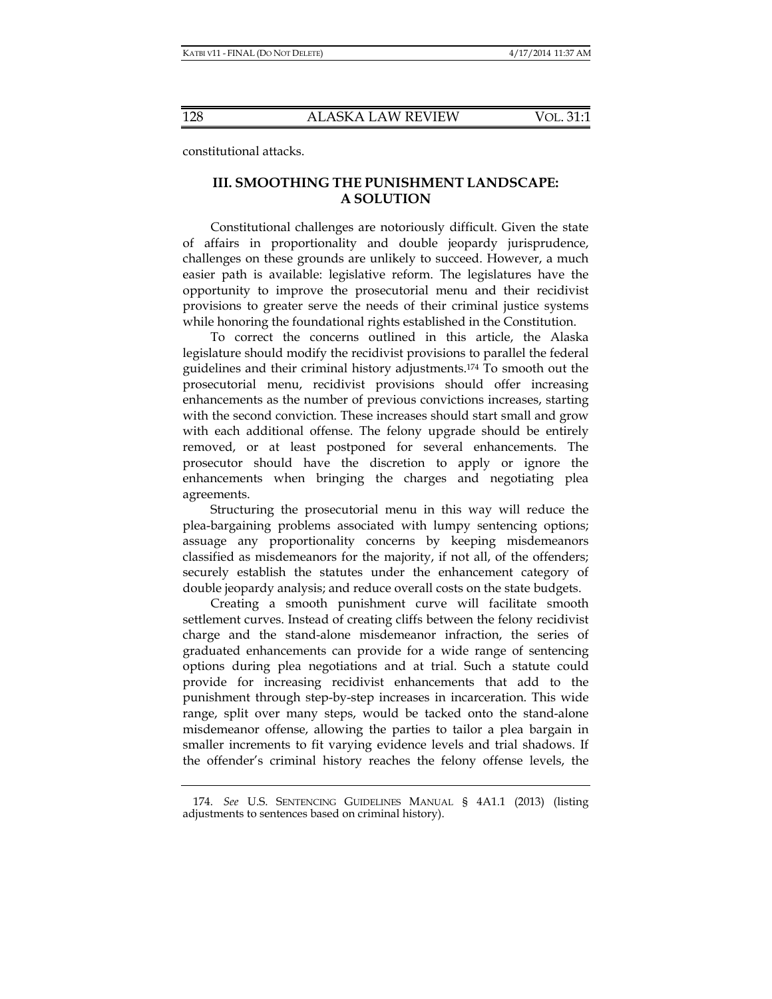constitutional attacks.

## **III. SMOOTHING THE PUNISHMENT LANDSCAPE: A SOLUTION**

Constitutional challenges are notoriously difficult. Given the state of affairs in proportionality and double jeopardy jurisprudence, challenges on these grounds are unlikely to succeed. However, a much easier path is available: legislative reform. The legislatures have the opportunity to improve the prosecutorial menu and their recidivist provisions to greater serve the needs of their criminal justice systems while honoring the foundational rights established in the Constitution.

To correct the concerns outlined in this article, the Alaska legislature should modify the recidivist provisions to parallel the federal guidelines and their criminal history adjustments.174 To smooth out the prosecutorial menu, recidivist provisions should offer increasing enhancements as the number of previous convictions increases, starting with the second conviction. These increases should start small and grow with each additional offense. The felony upgrade should be entirely removed, or at least postponed for several enhancements. The prosecutor should have the discretion to apply or ignore the enhancements when bringing the charges and negotiating plea agreements.

Structuring the prosecutorial menu in this way will reduce the plea-bargaining problems associated with lumpy sentencing options; assuage any proportionality concerns by keeping misdemeanors classified as misdemeanors for the majority, if not all, of the offenders; securely establish the statutes under the enhancement category of double jeopardy analysis; and reduce overall costs on the state budgets.

Creating a smooth punishment curve will facilitate smooth settlement curves. Instead of creating cliffs between the felony recidivist charge and the stand-alone misdemeanor infraction, the series of graduated enhancements can provide for a wide range of sentencing options during plea negotiations and at trial. Such a statute could provide for increasing recidivist enhancements that add to the punishment through step-by-step increases in incarceration. This wide range, split over many steps, would be tacked onto the stand-alone misdemeanor offense, allowing the parties to tailor a plea bargain in smaller increments to fit varying evidence levels and trial shadows. If the offender's criminal history reaches the felony offense levels, the

 <sup>174.</sup> *See* U.S. SENTENCING GUIDELINES MANUAL § 4A1.1 (2013) (listing adjustments to sentences based on criminal history).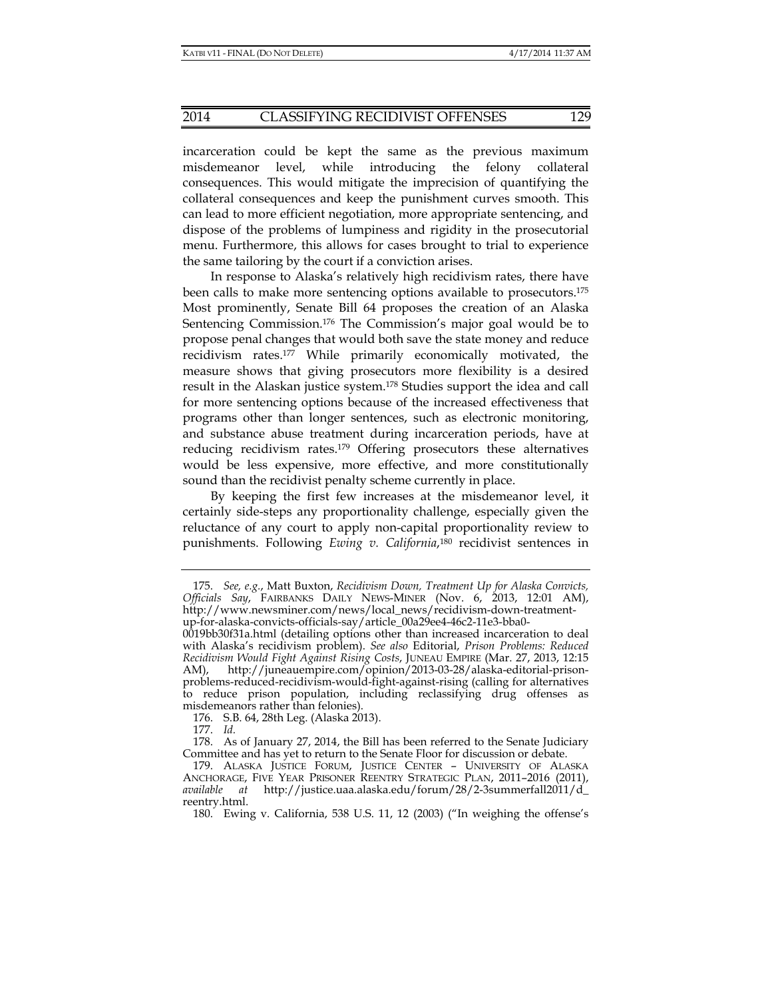incarceration could be kept the same as the previous maximum misdemeanor level, while introducing the felony collateral consequences. This would mitigate the imprecision of quantifying the collateral consequences and keep the punishment curves smooth. This can lead to more efficient negotiation, more appropriate sentencing, and dispose of the problems of lumpiness and rigidity in the prosecutorial menu. Furthermore, this allows for cases brought to trial to experience the same tailoring by the court if a conviction arises.

In response to Alaska's relatively high recidivism rates, there have been calls to make more sentencing options available to prosecutors.175 Most prominently, Senate Bill 64 proposes the creation of an Alaska Sentencing Commission.176 The Commission's major goal would be to propose penal changes that would both save the state money and reduce recidivism rates.177 While primarily economically motivated, the measure shows that giving prosecutors more flexibility is a desired result in the Alaskan justice system.178 Studies support the idea and call for more sentencing options because of the increased effectiveness that programs other than longer sentences, such as electronic monitoring, and substance abuse treatment during incarceration periods, have at reducing recidivism rates.179 Offering prosecutors these alternatives would be less expensive, more effective, and more constitutionally sound than the recidivist penalty scheme currently in place.

By keeping the first few increases at the misdemeanor level, it certainly side-steps any proportionality challenge, especially given the reluctance of any court to apply non-capital proportionality review to punishments. Following *Ewing v. California*,180 recidivist sentences in

 <sup>175.</sup> *See, e.g.*, Matt Buxton, *Recidivism Down, Treatment Up for Alaska Convicts, Officials Say*, FAIRBANKS DAILY NEWS-MINER (Nov. 6, 2013, 12:01 AM), http://www.newsminer.com/news/local\_news/recidivism-down-treatmentup-for-alaska-convicts-officials-say/article\_00a29ee4-46c2-11e3-bba0-

<sup>0019</sup>bb30f31a.html (detailing options other than increased incarceration to deal with Alaska's recidivism problem). *See also* Editorial, *Prison Problems: Reduced Recidivism Would Fight Against Rising Costs*, JUNEAU EMPIRE (Mar. 27, 2013, 12:15 AM), http://juneauempire.com/opinion/2013-03-28/alaska-editorial-prisonproblems-reduced-recidivism-would-fight-against-rising (calling for alternatives to reduce prison population, including reclassifying drug offenses as misdemeanors rather than felonies).

 <sup>176.</sup> S.B. 64, 28th Leg. (Alaska 2013).

 <sup>177.</sup> *Id.*

 <sup>178.</sup> As of January 27, 2014, the Bill has been referred to the Senate Judiciary Committee and has yet to return to the Senate Floor for discussion or debate.

 <sup>179.</sup> ALASKA JUSTICE FORUM, JUSTICE CENTER – UNIVERSITY OF ALASKA ANCHORAGE, FIVE YEAR PRISONER REENTRY STRATEGIC PLAN, 2011–2016 (2011), *available at* http://justice.uaa.alaska.edu/forum/28/2-3summerfall2011/d\_ reentry.html.

 <sup>180.</sup> Ewing v. California, 538 U.S. 11, 12 (2003) ("In weighing the offense's